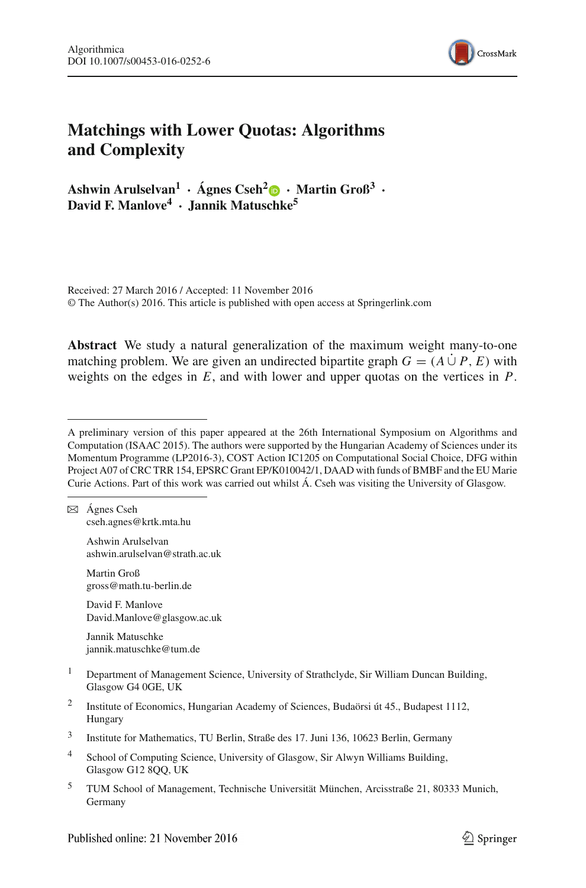

# **Matchings with Lower Quotas: Algorithms and Complexity**

**Ashwin Arulselvan1 · Ágnes Cseh2 · Martin Groß3 · David F. Manlove4 · Jannik Matuschke5**

Received: 27 March 2016 / Accepted: 11 November 2016 © The Author(s) 2016. This article is published with open access at Springerlink.com

**Abstract** We study a natural generalization of the maximum weight many-to-one matching problem. We are given an undirected bipartite graph  $G = (A \cup P, E)$  with weights on the edges in *E*, and with lower and upper quotas on the vertices in *P*.

 $\boxtimes$  Ágnes Cseh cseh.agnes@krtk.mta.hu

> Ashwin Arulselvan ashwin.arulselvan@strath.ac.uk

Martin Groß gross@math.tu-berlin.de

David F. Manlove David.Manlove@glasgow.ac.uk

Jannik Matuschke jannik.matuschke@tum.de

- <sup>1</sup> Department of Management Science, University of Strathclyde, Sir William Duncan Building, Glasgow G4 0GE, UK
- <sup>2</sup> Institute of Economics, Hungarian Academy of Sciences, Budaörsi út 45., Budapest 1112, Hungary
- <sup>3</sup> Institute for Mathematics, TU Berlin, Straße des 17. Juni 136, 10623 Berlin, Germany
- <sup>4</sup> School of Computing Science, University of Glasgow, Sir Alwyn Williams Building, Glasgow G12 8QQ, UK
- <sup>5</sup> TUM School of Management, Technische Universität München, Arcisstraße 21, 80333 Munich, Germany

A preliminary version of this paper appeared at the 26th International Symposium on Algorithms and Computation (ISAAC 2015). The authors were supported by the Hungarian Academy of Sciences under its Momentum Programme (LP2016-3), COST Action IC1205 on Computational Social Choice, DFG within Project A07 of CRC TRR 154, EPSRC Grant EP/K010042/1, DAAD with funds of BMBF and the EU Marie Curie Actions. Part of this work was carried out whilst Á. Cseh was visiting the University of Glasgow.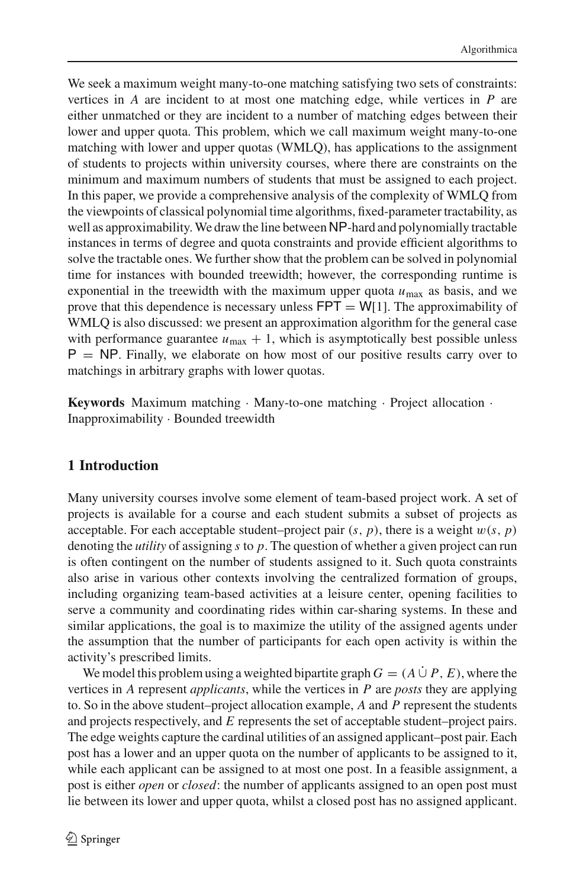We seek a maximum weight many-to-one matching satisfying two sets of constraints: vertices in *A* are incident to at most one matching edge, while vertices in *P* are either unmatched or they are incident to a number of matching edges between their lower and upper quota. This problem, which we call maximum weight many-to-one matching with lower and upper quotas (WMLQ), has applications to the assignment of students to projects within university courses, where there are constraints on the minimum and maximum numbers of students that must be assigned to each project. In this paper, we provide a comprehensive analysis of the complexity of WMLQ from the viewpoints of classical polynomial time algorithms, fixed-parameter tractability, as well as approximability.We draw the line between NP-hard and polynomially tractable instances in terms of degree and quota constraints and provide efficient algorithms to solve the tractable ones. We further show that the problem can be solved in polynomial time for instances with bounded treewidth; however, the corresponding runtime is exponential in the treewidth with the maximum upper quota  $u_{\text{max}}$  as basis, and we prove that this dependence is necessary unless  $FPT = W[1]$ . The approximability of WMLQ is also discussed: we present an approximation algorithm for the general case with performance guarantee  $u_{\text{max}} + 1$ , which is asymptotically best possible unless  $P = NP$ . Finally, we elaborate on how most of our positive results carry over to matchings in arbitrary graphs with lower quotas.

**Keywords** Maximum matching · Many-to-one matching · Project allocation · Inapproximability · Bounded treewidth

# **1 Introduction**

Many university courses involve some element of team-based project work. A set of projects is available for a course and each student submits a subset of projects as acceptable. For each acceptable student–project pair  $(s, p)$ , there is a weight  $w(s, p)$ denoting the *utility* of assigning *s* to *p*. The question of whether a given project can run is often contingent on the number of students assigned to it. Such quota constraints also arise in various other contexts involving the centralized formation of groups, including organizing team-based activities at a leisure center, opening facilities to serve a community and coordinating rides within car-sharing systems. In these and similar applications, the goal is to maximize the utility of the assigned agents under the assumption that the number of participants for each open activity is within the activity's prescribed limits.

We model this problem using a weighted bipartite graph  $G = (A \cup P, E)$ , where the vertices in *A* represent *applicants*, while the vertices in *P* are *posts* they are applying to. So in the above student–project allocation example, *A* and *P* represent the students and projects respectively, and *E* represents the set of acceptable student–project pairs. The edge weights capture the cardinal utilities of an assigned applicant–post pair. Each post has a lower and an upper quota on the number of applicants to be assigned to it, while each applicant can be assigned to at most one post. In a feasible assignment, a post is either *open* or *closed*: the number of applicants assigned to an open post must lie between its lower and upper quota, whilst a closed post has no assigned applicant.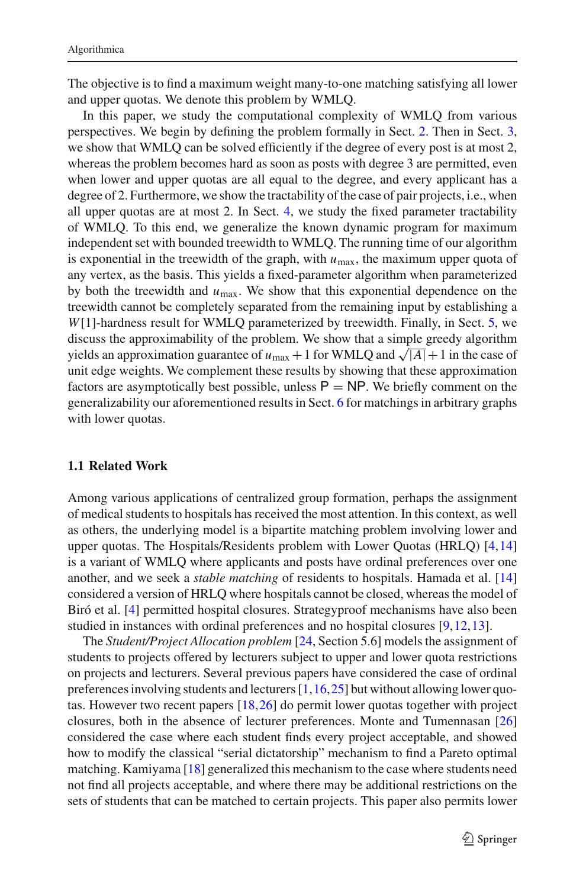The objective is to find a maximum weight many-to-one matching satisfying all lower and upper quotas. We denote this problem by WMLQ.

In this paper, we study the computational complexity of WMLQ from various perspectives. We begin by defining the problem formally in Sect. [2.](#page-3-0) Then in Sect. [3,](#page-4-0) we show that WMLQ can be solved efficiently if the degree of every post is at most 2, whereas the problem becomes hard as soon as posts with degree 3 are permitted, even when lower and upper quotas are all equal to the degree, and every applicant has a degree of 2. Furthermore, we show the tractability of the case of pair projects, i.e., when all upper quotas are at most 2. In Sect. [4,](#page-7-0) we study the fixed parameter tractability of WMLQ. To this end, we generalize the known dynamic program for maximum independent set with bounded treewidth to WMLQ. The running time of our algorithm is exponential in the treewidth of the graph, with  $u_{\text{max}}$ , the maximum upper quota of any vertex, as the basis. This yields a fixed-parameter algorithm when parameterized by both the treewidth and  $u_{\text{max}}$ . We show that this exponential dependence on the treewidth cannot be completely separated from the remaining input by establishing a *W*[1]-hardness result for WMLQ parameterized by treewidth. Finally, in Sect. [5,](#page-14-0) we discuss the approximability of the problem. We show that a simple greedy algorithm yields an approximation guarantee of  $u_{\text{max}} + 1$  for WMLQ and  $\sqrt{|A|} + 1$  in the case of unit edge weights. We complement these results by showing that these approximation factors are asymptotically best possible, unless  $P = NP$ . We briefly comment on the generalizability our aforementioned results in Sect. [6](#page-18-0) for matchings in arbitrary graphs with lower quotas.

#### <span id="page-2-0"></span>**1.1 Related Work**

Among various applications of centralized group formation, perhaps the assignment of medical students to hospitals has received the most attention. In this context, as well as others, the underlying model is a bipartite matching problem involving lower and upper quotas. The Hospitals/Residents problem with Lower Quotas (HRLQ) [\[4,](#page-22-0)[14\]](#page-22-1) is a variant of WMLQ where applicants and posts have ordinal preferences over one another, and we seek a *stable matching* of residents to hospitals. Hamada et al. [\[14\]](#page-22-1) considered a version of HRLQ where hospitals cannot be closed, whereas the model of Biró et al. [\[4\]](#page-22-0) permitted hospital closures. Strategyproof mechanisms have also been studied in instances with ordinal preferences and no hospital closures [\[9](#page-22-2),[12,](#page-22-3)[13\]](#page-22-4).

The *Student/Project Allocation problem* [\[24](#page-22-5), Section 5.6] models the assignment of students to projects offered by lecturers subject to upper and lower quota restrictions on projects and lecturers. Several previous papers have considered the case of ordinal preferences involving students and lecturers  $[1,16,25]$  $[1,16,25]$  $[1,16,25]$  $[1,16,25]$  but without allowing lower quotas. However two recent papers [\[18](#page-22-8),[26\]](#page-22-9) do permit lower quotas together with project closures, both in the absence of lecturer preferences. Monte and Tumennasan [\[26\]](#page-22-9) considered the case where each student finds every project acceptable, and showed how to modify the classical "serial dictatorship" mechanism to find a Pareto optimal matching. Kamiyama [\[18\]](#page-22-8) generalized this mechanism to the case where students need not find all projects acceptable, and where there may be additional restrictions on the sets of students that can be matched to certain projects. This paper also permits lower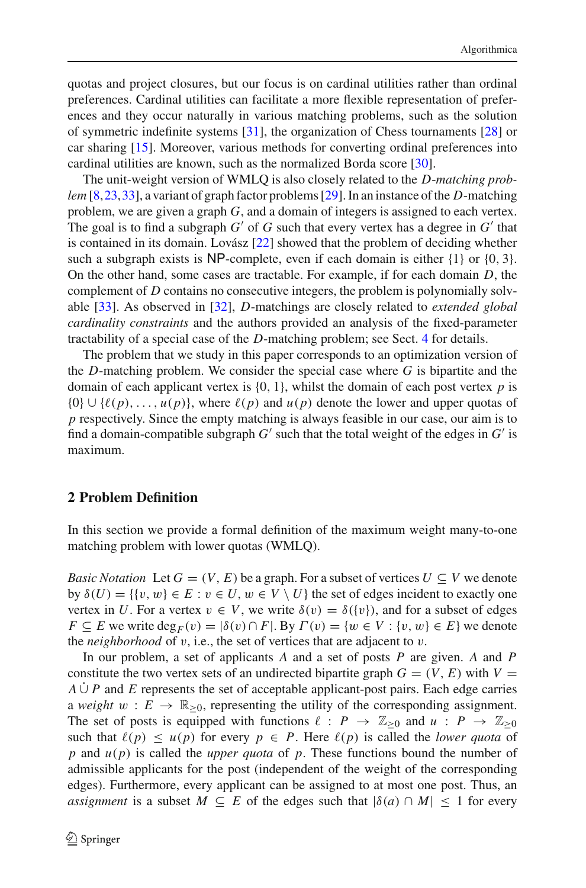quotas and project closures, but our focus is on cardinal utilities rather than ordinal preferences. Cardinal utilities can facilitate a more flexible representation of preferences and they occur naturally in various matching problems, such as the solution of symmetric indefinite systems [\[31\]](#page-23-0), the organization of Chess tournaments [\[28\]](#page-22-10) or car sharing [\[15](#page-22-11)]. Moreover, various methods for converting ordinal preferences into cardinal utilities are known, such as the normalized Borda score [\[30](#page-22-12)].

The unit-weight version of WMLQ is also closely related to the *D*-*matching problem* [\[8](#page-22-13)[,23](#page-22-14),[33](#page-23-1)], a variant of graph factor problems [\[29\]](#page-22-15). In an instance of the *D*-matching problem, we are given a graph *G*, and a domain of integers is assigned to each vertex. The goal is to find a subgraph  $G'$  of  $G$  such that every vertex has a degree in  $G'$  that is contained in its domain. Lovász [\[22](#page-22-16)] showed that the problem of deciding whether such a subgraph exists is NP-complete, even if each domain is either  $\{1\}$  or  $\{0, 3\}$ . On the other hand, some cases are tractable. For example, if for each domain *D*, the complement of *D* contains no consecutive integers, the problem is polynomially solvable [\[33\]](#page-23-1). As observed in [\[32\]](#page-23-2), *D*-matchings are closely related to *extended global cardinality constraints* and the authors provided an analysis of the fixed-parameter tractability of a special case of the *D*-matching problem; see Sect. [4](#page-7-0) for details.

The problem that we study in this paper corresponds to an optimization version of the *D*-matching problem. We consider the special case where *G* is bipartite and the domain of each applicant vertex is  $\{0, 1\}$ , whilst the domain of each post vertex  $p$  is  $\{0\} \cup \{\ell(p), \ldots, \mu(p)\}\$ , where  $\ell(p)$  and  $\mu(p)$  denote the lower and upper quotas of *p* respectively. Since the empty matching is always feasible in our case, our aim is to find a domain-compatible subgraph  $G'$  such that the total weight of the edges in  $G'$  is maximum.

### <span id="page-3-0"></span>**2 Problem Definition**

In this section we provide a formal definition of the maximum weight many-to-one matching problem with lower quotas (WMLQ).

*Basic Notation* Let  $G = (V, E)$  be a graph. For a subset of vertices  $U \subseteq V$  we denote by  $\delta(U) = \{ \{v, w\} \in E : v \in U, w \in V \setminus U \}$  the set of edges incident to exactly one vertex in *U*. For a vertex  $v \in V$ , we write  $\delta(v) = \delta({v})$ , and for a subset of edges *F*  $\subseteq$  *E* we write deg<sub>*F*</sub>(*v*) = | $\delta$ (*v*)  $\cap$  *F*|. By  $\Gamma$ (*v*) = { $w \in V : \{v, w\} \in E$ } we denote the *neighborhood* of v, i.e., the set of vertices that are adjacent to v.

In our problem, a set of applicants *A* and a set of posts *P* are given. *A* and *P* constitute the two vertex sets of an undirected bipartite graph  $G = (V, E)$  with  $V =$  $A \cup P$  and *E* represents the set of acceptable applicant-post pairs. Each edge carries a *weight*  $w : E \to \mathbb{R}_{\geq 0}$ , representing the utility of the corresponding assignment. The set of posts is equipped with functions  $\ell : P \to \mathbb{Z}_{\geq 0}$  and  $u : P \to \mathbb{Z}_{\geq 0}$ such that  $\ell(p) \leq u(p)$  for every  $p \in P$ . Here  $\ell(p)$  is called the *lower quota* of *p* and *u*(*p*) is called the *upper quota* of *p*. These functions bound the number of admissible applicants for the post (independent of the weight of the corresponding edges). Furthermore, every applicant can be assigned to at most one post. Thus, an *assignment* is a subset  $M \subseteq E$  of the edges such that  $|\delta(a) \cap M| \le 1$  for every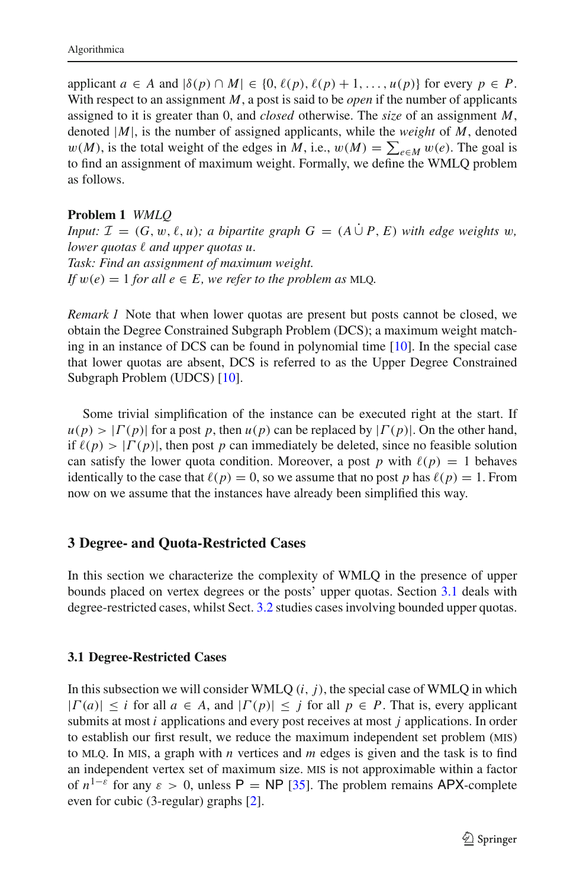applicant  $a \in A$  and  $|\delta(p) \cap M| \in \{0, \ell(p), \ell(p) + 1, \ldots, u(p)\}$  for every  $p \in P$ . With respect to an assignment *M*, a post is said to be *open* if the number of applicants assigned to it is greater than 0, and *closed* otherwise. The *size* of an assignment *M*, denoted |*M*|, is the number of assigned applicants, while the *weight* of *M*, denoted  $w(M)$ , is the total weight of the edges in *M*, i.e.,  $w(M) = \sum_{e \in M} w(e)$ . The goal is to find an assignment of maximum weight. Formally, we define the WMLQ problem as follows.

### <span id="page-4-2"></span>**Problem 1** *WMLQ*

*Input:*  $\mathcal{I} = (G, w, \ell, u)$ ; a bipartite graph  $G = (A \cup P, E)$  with edge weights w,  $lower$   $quotas$   $\ell$  and upper quotas u. *Task: Find an assignment of maximum weight. If*  $w(e) = 1$  *for all*  $e \in E$ *, we refer to the problem as MLQ.* 

*Remark 1* Note that when lower quotas are present but posts cannot be closed, we obtain the Degree Constrained Subgraph Problem (DCS); a maximum weight matching in an instance of DCS can be found in polynomial time [\[10\]](#page-22-17). In the special case that lower quotas are absent, DCS is referred to as the Upper Degree Constrained Subgraph Problem (UDCS) [\[10\]](#page-22-17).

Some trivial simplification of the instance can be executed right at the start. If  $u(p) > |\Gamma(p)|$  for a post p, then  $u(p)$  can be replaced by  $|\Gamma(p)|$ . On the other hand, if  $\ell(p) > |\Gamma(p)|$ , then post *p* can immediately be deleted, since no feasible solution can satisfy the lower quota condition. Moreover, a post  $p$  with  $\ell(p) = 1$  behaves identically to the case that  $\ell(p) = 0$ , so we assume that no post *p* has  $\ell(p) = 1$ . From now on we assume that the instances have already been simplified this way.

### <span id="page-4-0"></span>**3 Degree- and Quota-Restricted Cases**

In this section we characterize the complexity of WMLQ in the presence of upper bounds placed on vertex degrees or the posts' upper quotas. Section [3.1](#page-4-1) deals with degree-restricted cases, whilst Sect. [3.2](#page-6-0) studies cases involving bounded upper quotas.

### <span id="page-4-1"></span>**3.1 Degree-Restricted Cases**

In this subsection we will consider WMLQ  $(i, j)$ , the special case of WMLQ in which  $|\Gamma(a)| \leq i$  for all  $a \in A$ , and  $|\Gamma(p)| \leq j$  for all  $p \in P$ . That is, every applicant submits at most *i* applications and every post receives at most *j* applications. In order to establish our first result, we reduce the maximum independent set problem (mis) to MLQ. In MIS, a graph with  $n$  vertices and  $m$  edges is given and the task is to find an independent vertex set of maximum size. mis is not approximable within a factor of  $n^{1-\epsilon}$  for any  $\epsilon > 0$ , unless P = NP [\[35](#page-23-3)]. The problem remains APX-complete even for cubic (3-regular) graphs [\[2\]](#page-21-1).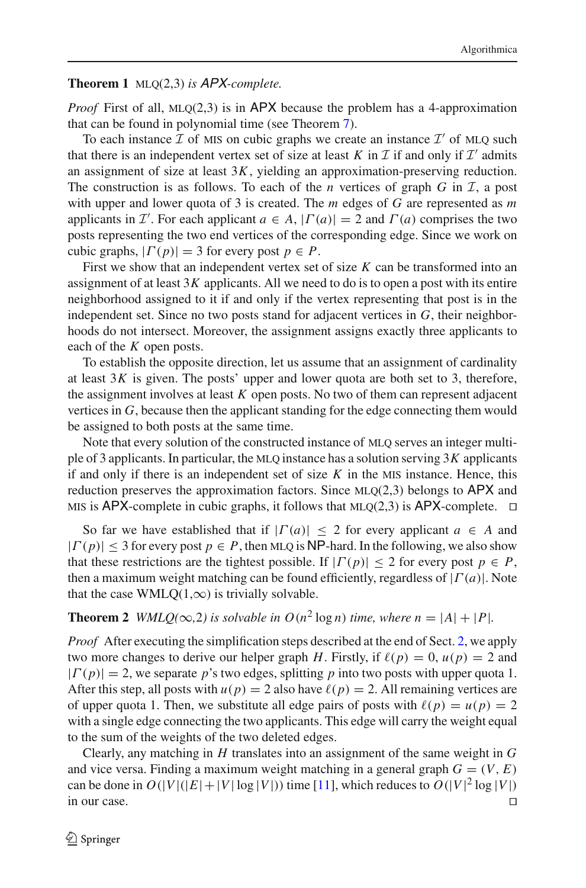#### <span id="page-5-0"></span>**Theorem 1** mlq(2,3) *is* APX*-complete.*

*Proof* First of all,  $MLQ(2,3)$  is in APX because the problem has a 4-approximation that can be found in polynomial time (see Theorem [7\)](#page-15-0).

To each instance  $I$  of MIS on cubic graphs we create an instance  $I'$  of MLO such that there is an independent vertex set of size at least *K* in  $\mathcal I$  if and only if  $\mathcal I'$  admits an assignment of size at least 3*K*, yielding an approximation-preserving reduction. The construction is as follows. To each of the *n* vertices of graph  $G$  in  $I$ , a post with upper and lower quota of 3 is created. The *m* edges of *G* are represented as *m* applicants in *I*'. For each applicant  $a \in A$ ,  $|\Gamma(a)| = 2$  and  $\Gamma(a)$  comprises the two posts representing the two end vertices of the corresponding edge. Since we work on cubic graphs,  $|\Gamma(p)| = 3$  for every post  $p \in P$ .

First we show that an independent vertex set of size *K* can be transformed into an assignment of at least  $3K$  applicants. All we need to do is to open a post with its entire neighborhood assigned to it if and only if the vertex representing that post is in the independent set. Since no two posts stand for adjacent vertices in *G*, their neighborhoods do not intersect. Moreover, the assignment assigns exactly three applicants to each of the *K* open posts.

To establish the opposite direction, let us assume that an assignment of cardinality at least  $3K$  is given. The posts' upper and lower quota are both set to 3, therefore, the assignment involves at least *K* open posts. No two of them can represent adjacent vertices in *G*, because then the applicant standing for the edge connecting them would be assigned to both posts at the same time.

Note that every solution of the constructed instance of MLO serves an integer multiple of 3 applicants. In particular, the MLQ instance has a solution serving  $3K$  applicants if and only if there is an independent set of size  $K$  in the MIS instance. Hence, this reduction preserves the approximation factors. Since  $MLQ(2,3)$  belongs to APX and MIS is APX-complete in cubic graphs, it follows that MLQ(2,3) is APX-complete.  $\Box$ 

So far we have established that if  $|\Gamma(a)| \leq 2$  for every applicant  $a \in A$  and  $|\Gamma(p)| \leq 3$  for every post  $p \in P$ , then MLQ is NP-hard. In the following, we also show that these restrictions are the tightest possible. If  $|\Gamma(p)| < 2$  for every post  $p \in P$ , then a maximum weight matching can be found efficiently, regardless of |Γ (*a*)|. Note that the case WMLQ(1, $\infty$ ) is trivially solvable.

# <span id="page-5-1"></span>**Theorem 2** *WMLQ*( $\infty$ ,2) *is solvable in O*( $n^2$  log *n*) *time, where n* =  $|A| + |P|$ *.*

*Proof* After executing the simplification steps described at the end of Sect. [2,](#page-3-0) we apply two more changes to derive our helper graph *H*. Firstly, if  $\ell(p) = 0$ ,  $u(p) = 2$  and  $|\Gamma(p)| = 2$ , we separate *p*'s two edges, splitting *p* into two posts with upper quota 1. After this step, all posts with  $u(p) = 2$  also have  $\ell(p) = 2$ . All remaining vertices are of upper quota 1. Then, we substitute all edge pairs of posts with  $\ell(p) = u(p) = 2$ with a single edge connecting the two applicants. This edge will carry the weight equal to the sum of the weights of the two deleted edges.

Clearly, any matching in *H* translates into an assignment of the same weight in *G* and vice versa. Finding a maximum weight matching in a general graph  $G = (V, E)$ can be done in  $O(|V|(|E|+|V| \log |V|))$  time [\[11](#page-22-18)], which reduces to  $O(|V|^2 \log |V|)$ in our case.  $\Box$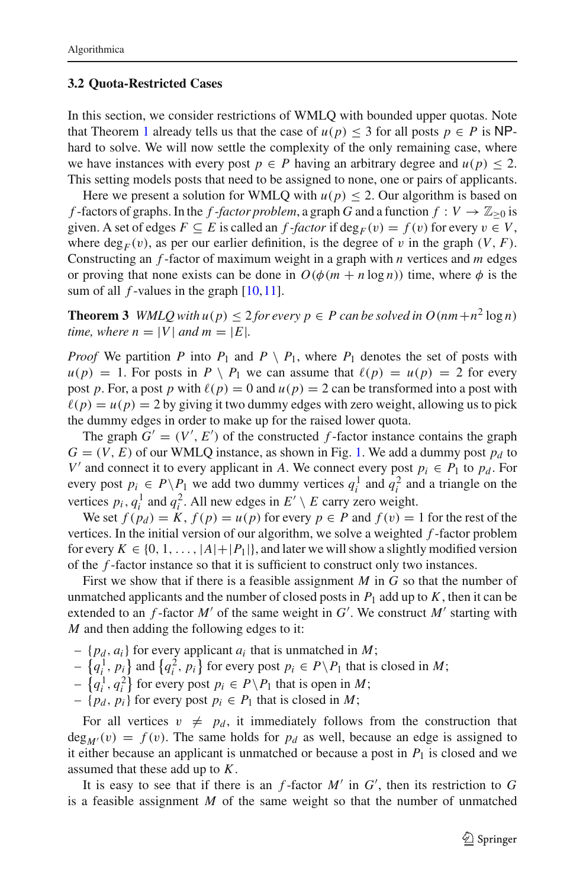#### <span id="page-6-0"></span>**3.2 Quota-Restricted Cases**

In this section, we consider restrictions of WMLQ with bounded upper quotas. Note that Theorem [1](#page-5-0) already tells us that the case of  $u(p) \leq 3$  for all posts  $p \in P$  is NPhard to solve. We will now settle the complexity of the only remaining case, where we have instances with every post  $p \in P$  having an arbitrary degree and  $u(p) \leq 2$ . This setting models posts that need to be assigned to none, one or pairs of applicants.

Here we present a solution for WMLQ with  $u(p) \leq 2$ . Our algorithm is based on *f* -factors of graphs. In the *f* -factor problem, a graph *G* and a function  $f: V \to \mathbb{Z}_{\geq 0}$  is given. A set of edges  $F \subseteq E$  is called an  $f$ -factor if deg<sub>F</sub> $(v) = f(v)$  for every  $v \in V$ , where  $\deg_F(v)$ , as per our earlier definition, is the degree of v in the graph  $(V, F)$ . Constructing an *f* -factor of maximum weight in a graph with *n* vertices and *m* edges or proving that none exists can be done in  $O(\phi(m + n \log n))$  time, where  $\phi$  is the sum of all *f*-values in the graph [\[10](#page-22-17), [11\]](#page-22-18).

<span id="page-6-1"></span>**Theorem 3** *WMLQ with*  $u(p) \leq 2$  *for every*  $p \in P$  *can be solved in*  $O(nm + n^2 \log n)$ *time, where n* = |*V*| *and m* =  $|E|$ *.* 

*Proof* We partition *P* into  $P_1$  and  $P \setminus P_1$ , where  $P_1$  denotes the set of posts with  $u(p) = 1$ . For posts in  $P \setminus P_1$  we can assume that  $\ell(p) = u(p) = 2$  for every post *p*. For, a post *p* with  $\ell(p) = 0$  and  $u(p) = 2$  can be transformed into a post with  $\ell(p) = u(p) = 2$  by giving it two dummy edges with zero weight, allowing us to pick the dummy edges in order to make up for the raised lower quota.

The graph  $G' = (V', E')$  of the constructed *f*-factor instance contains the graph  $G = (V, E)$  of our WMLQ instance, as shown in Fig. [1.](#page-7-1) We add a dummy post  $p_d$  to *V'* and connect it to every applicant in *A*. We connect every post  $p_i \in P_1$  to  $p_d$ . For every post  $p_i \in P \setminus P_1$  we add two dummy vertices  $q_i^1$  and  $q_i^2$  and a triangle on the vertices  $p_i$ ,  $q_i^1$  and  $q_i^2$ . All new edges in  $E' \setminus E$  carry zero weight.

We set  $f(p_d) = K$ ,  $f(p) = u(p)$  for every  $p \in P$  and  $f(v) = 1$  for the rest of the vertices. In the initial version of our algorithm, we solve a weighted *f* -factor problem for every  $K \in \{0, 1, \ldots, |A| + |P_1|\}$ , and later we will show a slightly modified version of the *f* -factor instance so that it is sufficient to construct only two instances.

First we show that if there is a feasible assignment *M* in *G* so that the number of unmatched applicants and the number of closed posts in  $P_1$  add up to  $K$ , then it can be extended to an  $f$ -factor  $M'$  of the same weight in  $G'$ . We construct  $M'$  starting with *M* and then adding the following edges to it:

- $\{p_d, a_i\}$  for every applicant  $a_i$  that is unmatched in *M*;
- $\{q_i^1, p_i\}$  and  $\{q_i^2, p_i\}$  for every post  $p_i \in P \backslash P_1$  that is closed in *M*;
- −  $\{q_i^1, q_i^2\}$  for every post  $p_i$  ∈  $P \ P_1$  that is open in *M*;
- $-$  {*p<sub>d</sub>*, *p<sub>i</sub>*} for every post *p<sub>i</sub>*  $\in$  *P*<sub>1</sub> that is closed in *M*;

For all vertices  $v \neq p_d$ , it immediately follows from the construction that  $deg_{M}(v) = f(v)$ . The same holds for  $p_d$  as well, because an edge is assigned to it either because an applicant is unmatched or because a post in  $P_1$  is closed and we assumed that these add up to *K*.

It is easy to see that if there is an  $f$ -factor  $M'$  in  $G'$ , then its restriction to  $G$ is a feasible assignment *M* of the same weight so that the number of unmatched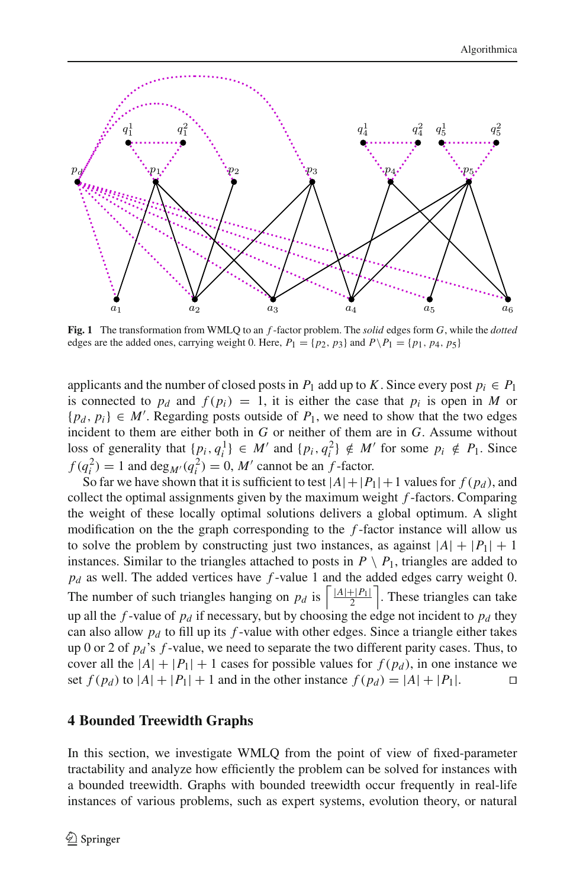

<span id="page-7-1"></span>**Fig. 1** The transformation from WMLQ to an *f* -factor problem. The *solid* edges form *G*, while the *dotted* edges are the added ones, carrying weight 0. Here,  $P_1 = \{p_2, p_3\}$  and  $P\backslash P_1 = \{p_1, p_4, p_5\}$ 

applicants and the number of closed posts in  $P_1$  add up to *K*. Since every post  $p_i \in P_1$ is connected to  $p_d$  and  $f(p_i) = 1$ , it is either the case that  $p_i$  is open in *M* or  ${p_d, p_i} \in M'$ . Regarding posts outside of  $P_1$ , we need to show that the two edges incident to them are either both in *G* or neither of them are in *G*. Assume without loss of generality that  $\{p_i, q_i^1\} \in M'$  and  $\{p_i, q_i^2\} \notin M'$  for some  $p_i \notin P_1$ . Since  $f(q_i^2) = 1$  and  $\deg_{M'}(q_i^2) = 0$ , *M'* cannot be an *f*-factor.

So far we have shown that it is sufficient to test  $|A|+|P_1|+1$  values for  $f(p_d)$ , and collect the optimal assignments given by the maximum weight *f* -factors. Comparing the weight of these locally optimal solutions delivers a global optimum. A slight modification on the the graph corresponding to the *f* -factor instance will allow us to solve the problem by constructing just two instances, as against  $|A| + |P_1| + 1$ instances. Similar to the triangles attached to posts in  $P \setminus P_1$ , triangles are added to *pd* as well. The added vertices have *f* -value 1 and the added edges carry weight 0. The number of such triangles hanging on  $p_d$  is  $\left\lceil \frac{|A|+|P_1|}{2} \right\rceil$ . These triangles can take up all the  $f$ -value of  $p_d$  if necessary, but by choosing the edge not incident to  $p_d$  they can also allow *pd* to fill up its *f* -value with other edges. Since a triangle either takes up 0 or 2 of *pd* 's *f* -value, we need to separate the two different parity cases. Thus, to cover all the  $|A| + |P_1| + 1$  cases for possible values for  $f(p_d)$ , in one instance we set  $f(p_d)$  to  $|A| + |P_1| + 1$  and in the other instance  $f(p_d) = |A| + |P_1|$ .

# <span id="page-7-0"></span>**4 Bounded Treewidth Graphs**

In this section, we investigate WMLQ from the point of view of fixed-parameter tractability and analyze how efficiently the problem can be solved for instances with a bounded treewidth. Graphs with bounded treewidth occur frequently in real-life instances of various problems, such as expert systems, evolution theory, or natural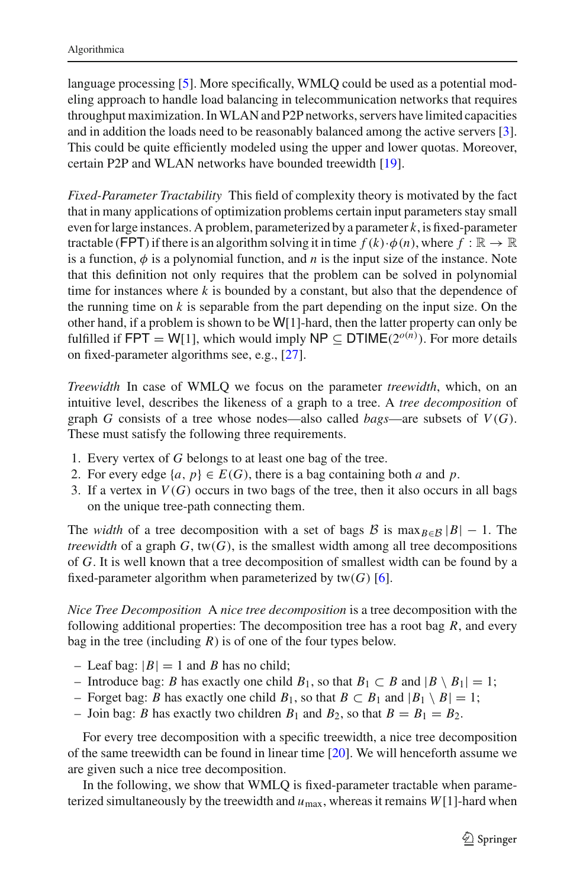language processing [\[5\]](#page-22-19). More specifically, WMLQ could be used as a potential modeling approach to handle load balancing in telecommunication networks that requires throughput maximization. InWLAN and P2P networks, servers have limited capacities and in addition the loads need to be reasonably balanced among the active servers [\[3](#page-22-20)]. This could be quite efficiently modeled using the upper and lower quotas. Moreover, certain P2P and WLAN networks have bounded treewidth [\[19\]](#page-22-21).

*Fixed-Parameter Tractability* This field of complexity theory is motivated by the fact that in many applications of optimization problems certain input parameters stay small even for large instances. A problem, parameterized by a parameter *k*, is fixed-parameter tractable (FPT) if there is an algorithm solving it in time  $f(k) \cdot \phi(n)$ , where  $f : \mathbb{R} \to \mathbb{R}$ is a function,  $\phi$  is a polynomial function, and *n* is the input size of the instance. Note that this definition not only requires that the problem can be solved in polynomial time for instances where *k* is bounded by a constant, but also that the dependence of the running time on  $k$  is separable from the part depending on the input size. On the other hand, if a problem is shown to be W[1]-hard, then the latter property can only be fulfilled if  $FPT = W[1]$ , which would imply  $NP \subseteq DTIME(2^{o(n)})$ . For more details on fixed-parameter algorithms see, e.g., [\[27](#page-22-22)].

*Treewidth* In case of WMLQ we focus on the parameter *treewidth*, which, on an intuitive level, describes the likeness of a graph to a tree. A *tree decomposition* of graph *G* consists of a tree whose nodes—also called *bags*—are subsets of *V*(*G*). These must satisfy the following three requirements.

- 1. Every vertex of *G* belongs to at least one bag of the tree.
- 2. For every edge  $\{a, p\} \in E(G)$ , there is a bag containing both *a* and *p*.
- 3. If a vertex in  $V(G)$  occurs in two bags of the tree, then it also occurs in all bags on the unique tree-path connecting them.

The *width* of a tree decomposition with a set of bags *B* is max $_{B \in B} |B| - 1$ . The *treewidth* of a graph  $G$ ,  $tw(G)$ , is the smallest width among all tree decompositions of *G*. It is well known that a tree decomposition of smallest width can be found by a fixed-parameter algorithm when parameterized by  $tw(G)$  [\[6](#page-22-23)].

*Nice Tree Decomposition* A *nice tree decomposition* is a tree decomposition with the following additional properties: The decomposition tree has a root bag *R*, and every bag in the tree (including *R*) is of one of the four types below.

- Leaf bag:  $|B| = 1$  and *B* has no child;
- Introduce bag: *B* has exactly one child *B*1, so that *B*<sup>1</sup> ⊂ *B* and |*B* \ *B*1| = 1;
- Forget bag: *B* has exactly one child *B*1, so that *B* ⊂ *B*<sup>1</sup> and |*B*<sup>1</sup> \ *B*| = 1;
- Join bag: *B* has exactly two children  $B_1$  and  $B_2$ , so that  $B = B_1 = B_2$ .

For every tree decomposition with a specific treewidth, a nice tree decomposition of the same treewidth can be found in linear time [\[20](#page-22-24)]. We will henceforth assume we are given such a nice tree decomposition.

In the following, we show that WMLQ is fixed-parameter tractable when parameterized simultaneously by the treewidth and  $u_{\text{max}}$ , whereas it remains  $W[1]$ -hard when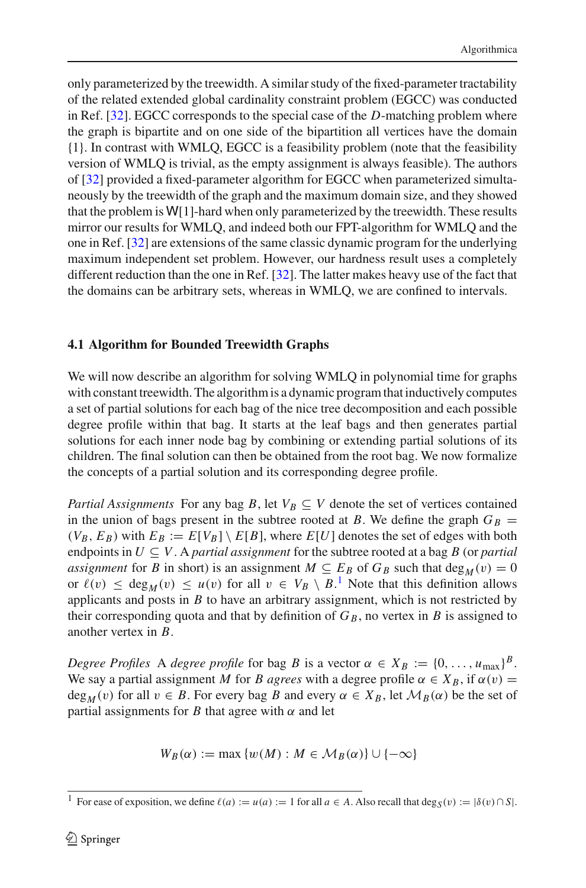only parameterized by the treewidth. A similar study of the fixed-parameter tractability of the related extended global cardinality constraint problem (EGCC) was conducted in Ref. [\[32\]](#page-23-2). EGCC corresponds to the special case of the *D*-matching problem where the graph is bipartite and on one side of the bipartition all vertices have the domain {1}. In contrast with WMLQ, EGCC is a feasibility problem (note that the feasibility version of WMLQ is trivial, as the empty assignment is always feasible). The authors of [\[32\]](#page-23-2) provided a fixed-parameter algorithm for EGCC when parameterized simultaneously by the treewidth of the graph and the maximum domain size, and they showed that the problem is  $W[1]$ -hard when only parameterized by the treewidth. These results mirror our results for WMLQ, and indeed both our FPT-algorithm for WMLQ and the one in Ref. [\[32](#page-23-2)] are extensions of the same classic dynamic program for the underlying maximum independent set problem. However, our hardness result uses a completely different reduction than the one in Ref. [\[32](#page-23-2)]. The latter makes heavy use of the fact that the domains can be arbitrary sets, whereas in WMLQ, we are confined to intervals.

# **4.1 Algorithm for Bounded Treewidth Graphs**

We will now describe an algorithm for solving WMLQ in polynomial time for graphs with constant treewidth. The algorithm is a dynamic program that inductively computes a set of partial solutions for each bag of the nice tree decomposition and each possible degree profile within that bag. It starts at the leaf bags and then generates partial solutions for each inner node bag by combining or extending partial solutions of its children. The final solution can then be obtained from the root bag. We now formalize the concepts of a partial solution and its corresponding degree profile.

*Partial Assignments* For any bag *B*, let  $V_B \subseteq V$  denote the set of vertices contained in the union of bags present in the subtree rooted at *B*. We define the graph  $G_B =$  $(V_B, E_B)$  with  $E_B := E[V_B] \setminus E[B]$ , where  $E[U]$  denotes the set of edges with both endpoints in  $U \subseteq V$ . A *partial assignment* for the subtree rooted at a bag *B* (or *partial assignment* for *B* in short) is an assignment  $M \subseteq E_B$  of  $G_B$  such that deg<sub>M</sub>(v) = 0 or  $\ell(v) \leq \deg_M(v) \leq u(v)$  for all  $v \in V_B \setminus B$ .<sup>[1](#page-9-0)</sup> Note that this definition allows applicants and posts in *B* to have an arbitrary assignment, which is not restricted by their corresponding quota and that by definition of  $G_B$ , no vertex in *B* is assigned to another vertex in *B*.

*Degree Profiles* A *degree profile* for bag *B* is a vector  $\alpha \in X_B := \{0, \ldots, u_{\text{max}}\}^B$ . We say a partial assignment *M* for *B agrees* with a degree profile  $\alpha \in X_B$ , if  $\alpha(v) =$  $deg_M(v)$  for all  $v \in B$ . For every bag *B* and every  $\alpha \in X_B$ , let  $\mathcal{M}_B(\alpha)$  be the set of partial assignments for *B* that agree with  $\alpha$  and let

$$
W_B(\alpha) := \max \{ w(M) : M \in \mathcal{M}_B(\alpha) \} \cup \{ -\infty \}
$$

<span id="page-9-0"></span><sup>&</sup>lt;sup>1</sup> For ease of exposition, we define  $\ell(a) := u(a) := 1$  for all  $a \in A$ . Also recall that  $\deg_S(v) := |\delta(v) \cap S|$ .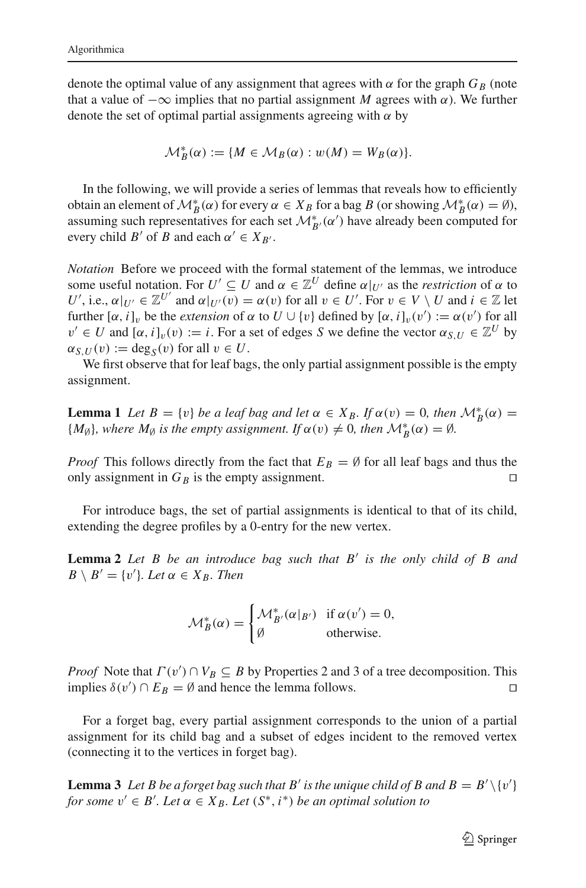denote the optimal value of any assignment that agrees with  $\alpha$  for the graph  $G_B$  (note that a value of  $-\infty$  implies that no partial assignment *M* agrees with  $\alpha$ ). We further denote the set of optimal partial assignments agreeing with  $\alpha$  by

$$
\mathcal{M}_{B}^{*}(\alpha) := \{ M \in \mathcal{M}_{B}(\alpha) : w(M) = W_{B}(\alpha) \}.
$$

In the following, we will provide a series of lemmas that reveals how to efficiently obtain an element of  $\mathcal{M}_B^*(\alpha)$  for every  $\alpha \in X_B$  for a bag *B* (or showing  $\mathcal{M}_B^*(\alpha) = \emptyset$ ), assuming such representatives for each set  $\mathcal{M}_{B'}^*(\alpha')$  have already been computed for every child *B'* of *B* and each  $\alpha' \in X_{B'}$ .

*Notation* Before we proceed with the formal statement of the lemmas, we introduce some useful notation. For  $U' \subseteq U$  and  $\alpha \in \mathbb{Z}^U$  define  $\alpha|_{U'}$  as the *restriction* of  $\alpha$  to *U'*, i.e.,  $\alpha|_{U'} \in \mathbb{Z}^{U'}$  and  $\alpha|_{U'}(v) = \alpha(v)$  for all  $v \in U'$ . For  $v \in V \setminus U$  and  $i \in \mathbb{Z}$  let further  $[\alpha, i]_v$  be the *extension* of  $\alpha$  to  $U \cup \{v\}$  defined by  $[\alpha, i]_v(v') := \alpha(v')$  for all  $v' \in U$  and  $[\alpha, i]_v(v) := i$ . For a set of edges *S* we define the vector  $\alpha_{S,U} \in \mathbb{Z}^U$  by  $\alpha_{S,U}(v) := \deg_S(v)$  for all  $v \in U$ .

<span id="page-10-0"></span>We first observe that for leaf bags, the only partial assignment possible is the empty assignment.

**Lemma 1** *Let*  $B = \{v\}$  *be a leaf bag and let*  $\alpha \in X_B$ . If  $\alpha(v) = 0$ *, then*  $\mathcal{M}_B^*(\alpha) =$  ${M_{\emptyset}}$ *, where*  $M_{\emptyset}$  *is the empty assignment. If*  $\alpha(v) \neq 0$ *, then*  $\mathcal{M}_{B}^{*}(\alpha) = \emptyset$ *.* 

*Proof* This follows directly from the fact that  $E_B = \emptyset$  for all leaf bags and thus the only assignment in  $G_B$  is the empty assignment only assignment in  $G_B$  is the empty assignment.

<span id="page-10-1"></span>For introduce bags, the set of partial assignments is identical to that of its child, extending the degree profiles by a 0-entry for the new vertex.

**Lemma 2** *Let B be an introduce bag such that B' is the only child of B and*  $B \setminus B' = \{v'\}$ *. Let*  $\alpha \in X_B$ *. Then* 

$$
\mathcal{M}_{B}^{*}(\alpha) = \begin{cases} \mathcal{M}_{B'}^{*}(\alpha|_{B'}) & \text{if } \alpha(v') = 0, \\ \emptyset & \text{otherwise.} \end{cases}
$$

*Proof* Note that  $\Gamma(v') \cap V_B \subseteq B$  by Properties 2 and 3 of a tree decomposition. This implies  $\delta(v') \cap E_B = \emptyset$  and hence the lemma follows.

For a forget bag, every partial assignment corresponds to the union of a partial assignment for its child bag and a subset of edges incident to the removed vertex (connecting it to the vertices in forget bag).

<span id="page-10-2"></span>**Lemma 3** Let B be a forget bag such that B' is the unique child of B and  $B = B' \setminus \{v'\}$ *for some*  $v' \in B'$ *. Let*  $\alpha \in X_B$ *. Let*  $(S^*, i^*)$  *be an optimal solution to*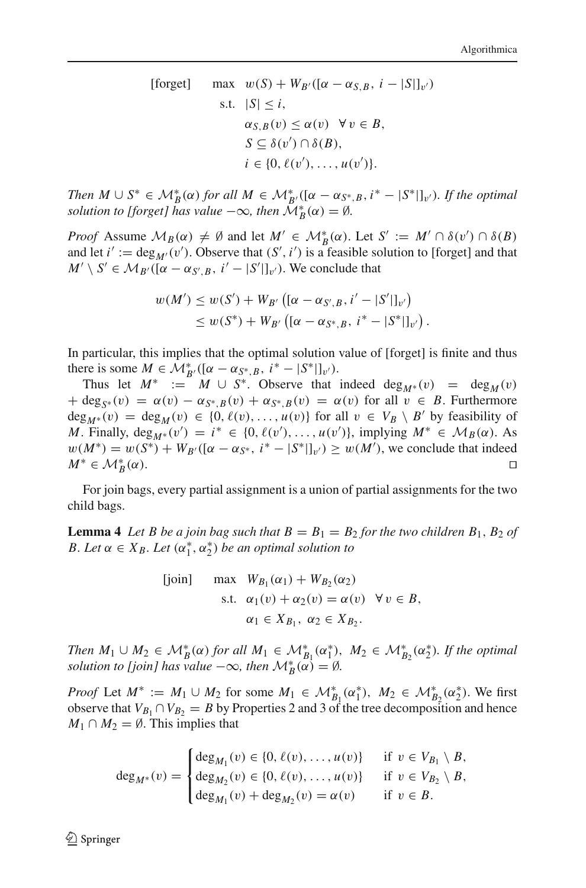[forget]

\n
$$
\max \quad w(S) + W_{B'}([\alpha - \alpha_{S,B}, i - |S|]_{v'})
$$
\ns.t.

\n
$$
|S| \leq i,
$$
\n
$$
\alpha_{S,B}(v) \leq \alpha(v) \quad \forall v \in B,
$$
\n
$$
S \subseteq \delta(v') \cap \delta(B),
$$
\n
$$
i \in \{0, \ell(v'), \dots, u(v')\}.
$$

*Then*  $M \cup S^* \in \mathcal{M}_B^*(\alpha)$  *for all*  $M \in \mathcal{M}_{B'}^*((\alpha - \alpha_{S^*,B}, i^* - |S^*|]_{v}).$  *If the optimal solution to [forget] has value*  $-\infty$ *, then*  $\mathcal{M}_{B}^{*}(\alpha) = \emptyset$ *.* 

*Proof* Assume  $M_B(\alpha) \neq \emptyset$  and let  $M' \in M_B^*(\alpha)$ . Let  $S' := M' \cap \delta(v') \cap \delta(B)$ and let  $i' := \deg_{M'}(v')$ . Observe that  $(S', i')$  is a feasible solution to [forget] and that  $M' \setminus S' \in M_{B'}([\alpha - \alpha_{S',B}, i' - |S'|]_{v'})$ . We conclude that

$$
w(M') \leq w(S') + W_{B'} ([\alpha - \alpha_{S',B}, i' - |S'|]_{\nu'})
$$
  
 
$$
\leq w(S^*) + W_{B'} ([\alpha - \alpha_{S^*,B}, i^* - |S^*|]_{\nu'}) .
$$

In particular, this implies that the optimal solution value of [forget] is finite and thus there is some *M* ∈ *M*<sup>\*</sup><sub>*B'*</sub>([α − α<sub>*S<sup>\*</sup>*, *B*, *i*<sup>\*</sup> − |*S*<sup>\*</sup>|]<sub>*v'*</sub>).</sub>

Thus let  $M^* := M \cup S^*$ . Observe that indeed deg<sub>M<sup>∗</sub>(v)</sup> = deg<sub>M</sub>(v)</sub>  $+ \deg_{S^*}(v) = \alpha(v) - \alpha_{S^*,B}(v) + \alpha_{S^*,B}(v) = \alpha(v)$  for all  $v \in B$ . Furthermore  $deg_{M^*}(v) = deg_M(v) \in \{0, \ell(v), \dots, u(v)\}\$ for all  $v \in V_B \setminus B'$  by feasibility of *M*. Finally,  $\deg_{M^*}(v') = i^* \in \{0, \ell(v'), \ldots, u(v')\}$ , implying  $M^* \in M_B(\alpha)$ . As  $w(M^*) = w(S^*) + W_{B'}([{\alpha - \alpha_{S^*}}, i^* - |S^*|]_{v'}) \geq w(M')$ , we conclude that indeed  $M^* \in \mathcal{M}_R^*(\alpha)$ .  $\mathcal{B}^*(\alpha)$ .

For join bags, every partial assignment is a union of partial assignments for the two child bags.

**Lemma 4** Let B be a join bag such that  $B = B_1 = B_2$  for the two children  $B_1$ ,  $B_2$  of *B.* Let  $\alpha \in X_B$ . Let  $(\alpha_1^*, \alpha_2^*)$  be an optimal solution to

$$
\begin{aligned}\n\text{[join]} \quad \text{max} \quad & W_{B_1}(\alpha_1) + W_{B_2}(\alpha_2) \\
\text{s.t.} \quad & \alpha_1(v) + \alpha_2(v) = \alpha(v) \quad \forall \, v \in B, \\
& \alpha_1 \in X_{B_1}, \ \alpha_2 \in X_{B_2}.\n\end{aligned}
$$

*Then*  $M_1 \cup M_2 \in M_B^*(\alpha)$  *for all*  $M_1 \in M_{B_1}^*(\alpha_1^*)$ ,  $M_2 \in M_{B_2}^*(\alpha_2^*)$ . If the optimal *solution to [join] has value*  $-\infty$ *, then*  $\mathcal{M}_{B}^{*}(\alpha) = \emptyset$ *.* 

*Proof* Let  $M^* := M_1 \cup M_2$  for some  $M_1 \in M^*_{B_1}(\alpha_1^*)$ ,  $M_2 \in M^*_{B_2}(\alpha_2^*)$ . We first observe that  $V_{B_1} \cap V_{B_2} = B$  by Properties 2 and 3 of the tree decomposition and hence *M*<sub>1</sub> ∩ *M*<sub>2</sub> =  $\emptyset$ . This implies that

$$
\deg_{M^*}(v) = \begin{cases} \deg_{M_1}(v) \in \{0, \ell(v), \dots, u(v)\} & \text{if } v \in V_{B_1} \setminus B, \\ \deg_{M_2}(v) \in \{0, \ell(v), \dots, u(v)\} & \text{if } v \in V_{B_2} \setminus B, \\ \deg_{M_1}(v) + \deg_{M_2}(v) = \alpha(v) & \text{if } v \in B. \end{cases}
$$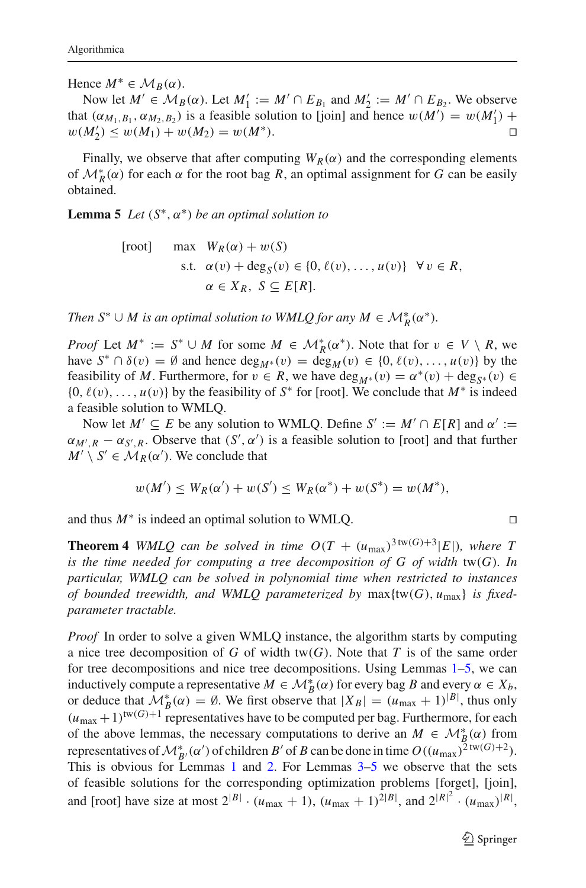Hence  $M^* \in \mathcal{M}_B(\alpha)$ .

Now let *M'* ∈ *M<sub>B</sub>*(*α*). Let *M'*<sub>1</sub> := *M'* ∩ *E<sub>B<sub>1</sub>*</sub> and *M'*<sub>2</sub> := *M'* ∩ *E<sub>B<sub>2</sub>*</sub>. We observe that  $(\alpha_{M_1, B_1}, \alpha_{M_2, B_2})$  is a feasible solution to [join] and hence  $w(M') = w(M'_1) +$  $w(M'_2) \leq w(M_1) + w(M_2) = w(M^*).$ 

Finally, we observe that after computing  $W_R(\alpha)$  and the corresponding elements of  $\mathcal{M}_{R}^{*}(\alpha)$  for each  $\alpha$  for the root bag *R*, an optimal assignment for *G* can be easily obtained.

<span id="page-12-0"></span>**Lemma 5** *Let*  $(S^*, \alpha^*)$  *be an optimal solution to* 

$$
\begin{aligned} \text{[root]} \qquad \max \quad & W_R(\alpha) + w(S) \\ \text{s.t.} \quad & \alpha(v) + \deg_S(v) \in \{0, \ell(v), \dots, u(v)\} \quad \forall \, v \in R, \\ & \alpha \in X_R, \ S \subseteq E[R]. \end{aligned}
$$

*Then*  $S^* \cup M$  is an optimal solution to WMLQ for any  $M \in M_R^*(\alpha^*)$ .

*Proof* Let  $M^* := S^* \cup M$  for some  $M \in M_R^*(\alpha^*)$ . Note that for  $v \in V \setminus R$ , we have  $S^* \cap \delta(v) = \emptyset$  and hence  $\deg_{M^*}(v) = \deg_M(v) \in \{0, \ell(v), \ldots, u(v)\}$  by the feasibility of *M*. Furthermore, for  $v \in R$ , we have  $\deg_{M^*}(v) = \alpha^*(v) + \deg_{S^*}(v) \in$  $\{0, \ell(v), \ldots, u(v)\}\$  by the feasibility of  $S^*$  for [root]. We conclude that  $M^*$  is indeed a feasible solution to WMLQ.

Now let  $M' \subseteq E$  be any solution to WMLQ. Define  $S' := M' \cap E[R]$  and  $\alpha' :=$  $\alpha_{M',R} - \alpha_{S',R}$ . Observe that  $(S', \alpha')$  is a feasible solution to [root] and that further  $M' \setminus S' \in M_R(\alpha')$ . We conclude that

$$
w(M') \le W_R(\alpha') + w(S') \le W_R(\alpha^*) + w(S^*) = w(M^*),
$$

and thus  $M^*$  is indeed an optimal solution to WMLO.

<span id="page-12-1"></span>**Theorem 4** *WMLQ can be solved in time*  $O(T + (u_{\text{max}})^{3 \text{tw}(G)+3} |E|)$ *, where T is the time needed for computing a tree decomposition of G of width* tw(*G*)*. In particular, WMLQ can be solved in polynomial time when restricted to instances of bounded treewidth, and WMLQ parameterized by* max{tw(*G*), *u*max} *is fixedparameter tractable.*

*Proof* In order to solve a given WMLQ instance, the algorithm starts by computing a nice tree decomposition of  $G$  of width tw( $G$ ). Note that  $T$  is of the same order for tree decompositions and nice tree decompositions. Using Lemmas [1–](#page-10-0)[5,](#page-12-0) we can inductively compute a representative  $M \in \mathcal{M}_B^*(\alpha)$  for every bag *B* and every  $\alpha \in X_b$ , or deduce that  $\mathcal{M}_{B}^{*}(\alpha) = \emptyset$ . We first observe that  $|X_{B}| = (u_{\text{max}} + 1)^{|B|}$ , thus only  $(u_{\text{max}}+1)^{\text{tw}(G)+1}$  representatives have to be computed per bag. Furthermore, for each of the above lemmas, the necessary computations to derive an  $M \in \mathcal{M}_{B}^{*}(\alpha)$  from representatives of  $\mathcal{M}_{B'}^*(\alpha')$  of children *B'* of *B* can be done in time  $O((u_{\text{max}})^{2 \text{ tw}(G)+2})$ . This is obvious for Lemmas [1](#page-10-0) and [2.](#page-10-1) For Lemmas [3](#page-10-2)[–5](#page-12-0) we observe that the sets of feasible solutions for the corresponding optimization problems [forget], [join], and [root] have size at most  $2^{|B|} \cdot (u_{\text{max}} + 1)$ ,  $(u_{\text{max}} + 1)^{2|B|}$ , and  $2^{|R|^2} \cdot (u_{\text{max}})^{|R|}$ ,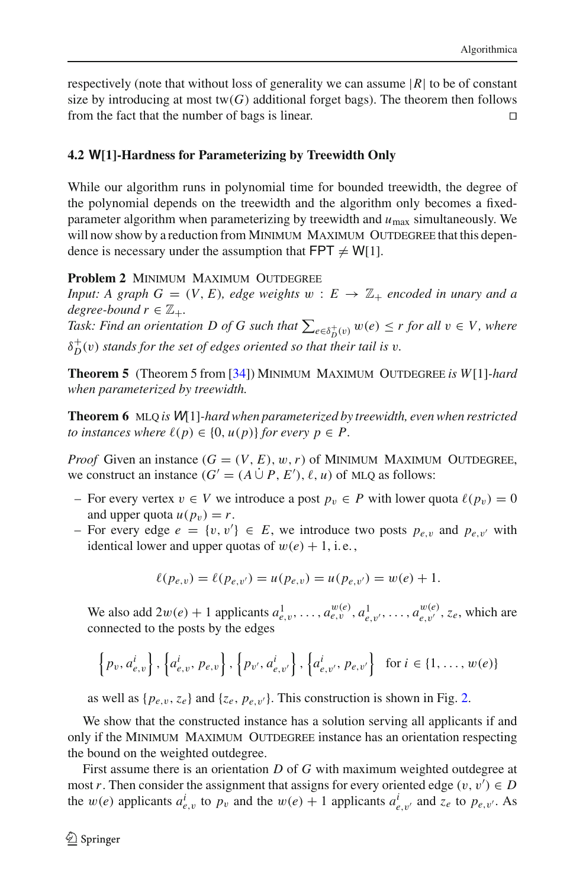respectively (note that without loss of generality we can assume  $|R|$  to be of constant size by introducing at most  $tw(G)$  additional forget bags). The theorem then follows from the fact that the number of bags is linear. 

# **4.2 W[1]-Hardness for Parameterizing by Treewidth Only**

While our algorithm runs in polynomial time for bounded treewidth, the degree of the polynomial depends on the treewidth and the algorithm only becomes a fixedparameter algorithm when parameterizing by treewidth and *u*max simultaneously. We will now show by a reduction from MINIMUM MAXIMUM OUTDEGREE that this dependence is necessary under the assumption that  $FPT \neq W[1]$ .

### **Problem 2 MINIMUM MAXIMUM OUTDEGREE**

*Input: A graph G* =  $(V, E)$ *, edge weights*  $w : E \rightarrow \mathbb{Z}_+$  *encoded in unary and a degree-bound*  $r \in \mathbb{Z}_+$ .

*Task: Find an orientation D of G such that*  $\sum_{e \in \delta_D^+(v)} w(e) \leq r$  for all  $v \in V$ , where  $\delta_D^+(v)$  *stands for the set of edges oriented so that their tail is*  $v$ .

**Theorem 5** (Theorem 5 from [\[34\]](#page-23-4)) MINIMUM MAXIMUM OUTDEGREE *is W*[1]*-hard when parameterized by treewidth.*

**Theorem 6** mlq *is* <sup>W</sup>[1]*-hard when parameterized by treewidth, even when restricted to instances where*  $\ell(p) \in \{0, u(p)\}$  *for every*  $p \in P$ .

*Proof* Given an instance  $(G = (V, E), w, r)$  of MINIMUM MAXIMUM OUTDEGREE, we construct an instance  $(G' = (A \cup P, E'), \ell, u)$  of MLQ as follows:

- For every vertex *v* ∈ *V* we introduce a post  $p_v$  ∈ *P* with lower quota  $\ell(p_v) = 0$ and upper quota  $u(p_v) = r$ .
- $-$  For every edge  $e = \{v, v'\}$  ∈  $E$ , we introduce two posts  $p_{e,v}$  and  $p_{e,v'}$  with identical lower and upper quotas of  $w(e) + 1$ , i.e.,

$$
\ell(p_{e,v}) = \ell(p_{e,v'}) = u(p_{e,v}) = u(p_{e,v'}) = w(e) + 1.
$$

We also add  $2w(e) + 1$  applicants  $a_{e,v}^1, \ldots, a_{e,v}^{w(e)}, a_{e,v'}^1, \ldots, a_{e,v'}^{w(e)}, z_e$ , which are connected to the posts by the edges

$$
\left\{p_v, a_{e,v}^i\right\}, \left\{a_{e,v}^i, p_{e,v}\right\}, \left\{p_{v'}, a_{e,v'}^i\right\}, \left\{a_{e,v'}^i, p_{e,v'}\right\} \text{ for } i \in \{1, \dots, w(e)\}\
$$

as well as  $\{p_{e,v}, z_e\}$  and  $\{z_e, p_{e,v'}\}$ . This construction is shown in Fig. [2.](#page-14-1)

We show that the constructed instance has a solution serving all applicants if and only if the MINIMUM MAXIMUM OUTDEGREE instance has an orientation respecting the bound on the weighted outdegree.

First assume there is an orientation *D* of *G* with maximum weighted outdegree at most *r*. Then consider the assignment that assigns for every oriented edge  $(v, v') \in D$ the  $w(e)$  applicants  $a^i_{e,v}$  to  $p_v$  and the  $w(e) + 1$  applicants  $a^i_{e,v'}$  and  $z_e$  to  $p_{e,v'}$ . As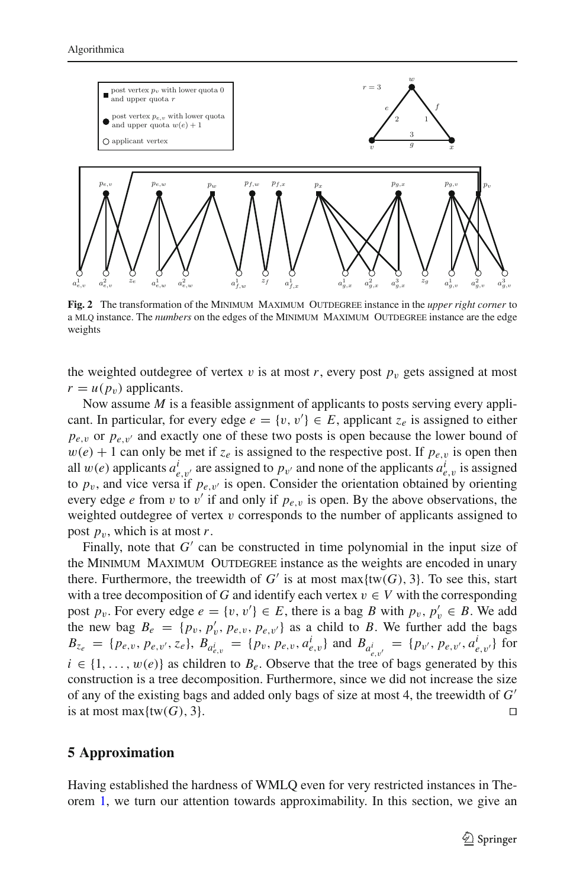

<span id="page-14-1"></span>**Fig. 2** The transformation of the MINIMUM MAXIMUM OUTDEGREE instance in the *upper right corner* to a MLQ instance. The *numbers* on the edges of the MINIMUM MAXIMUM OUTDEGREE instance are the edge weights

the weighted outdegree of vertex v is at most r, every post  $p_v$  gets assigned at most  $r = u(p_v)$  applicants.

Now assume *M* is a feasible assignment of applicants to posts serving every applicant. In particular, for every edge  $e = \{v, v'\} \in E$ , applicant  $z_e$  is assigned to either  $p_{e,v}$  or  $p_{e,v'}$  and exactly one of these two posts is open because the lower bound of  $w(e) + 1$  can only be met if  $z_e$  is assigned to the respective post. If  $p_{e,v}$  is open then all  $w(e)$  applicants  $a^i_{e,v'}$  are assigned to  $p_{v'}$  and none of the applicants  $a^i_{e,v}$  is assigned to  $p_v$ , and vice versa if  $p_{e,v'}$  is open. Consider the orientation obtained by orienting every edge *e* from *v* to *v'* if and only if  $p_{e,v}$  is open. By the above observations, the weighted outdegree of vertex  $v$  corresponds to the number of applicants assigned to post  $p_v$ , which is at most *r*.

Finally, note that  $G'$  can be constructed in time polynomial in the input size of the MINIMUM MAXIMUM OUTDEGREE instance as the weights are encoded in unary there. Furthermore, the treewidth of  $G'$  is at most max $\{tw(G), 3\}$ . To see this, start with a tree decomposition of *G* and identify each vertex  $v \in V$  with the corresponding post  $p_v$ . For every edge  $e = \{v, v'\} \in E$ , there is a bag *B* with  $p_v, p'_v \in B$ . We add the new bag  $B_e = \{p_v, p'_v, p_{e,v}, p_{e,v'}\}$  as a child to *B*. We further add the bags  $B_{z_e} = \{p_{e,v}, p_{e,v'}, z_e\}, B_{a_{e,v}^i} = \{p_v, p_{e,v}, a_{e,v}^i\}$  and  $B_{a_{e,v'}^i} = \{p_{v'}, p_{e,v'}, a_{e,v'}^i\}$  for  $i \in \{1, \ldots, w(e)\}$  as children to  $B_e$ . Observe that the tree of bags generated by this construction is a tree decomposition. Furthermore, since we did not increase the size of any of the existing bags and added only bags of size at most 4, the treewidth of *G* is at most max $\{tw(G), 3\}$ .

### <span id="page-14-0"></span>**5 Approximation**

Having established the hardness of WMLQ even for very restricted instances in Theorem [1,](#page-5-0) we turn our attention towards approximability. In this section, we give an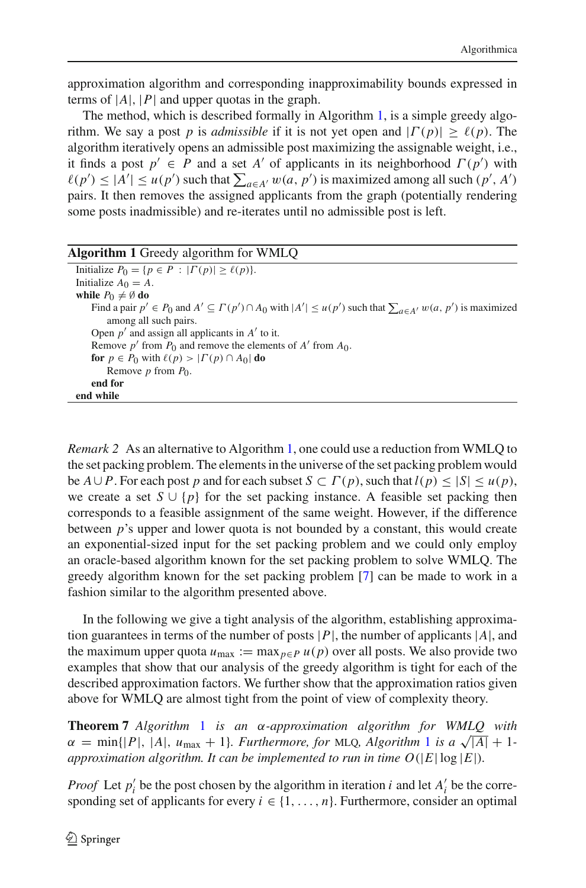approximation algorithm and corresponding inapproximability bounds expressed in terms of  $|A|$ ,  $|P|$  and upper quotas in the graph.

The method, which is described formally in Algorithm [1,](#page-15-1) is a simple greedy algorithm. We say a post *p* is *admissible* if it is not yet open and  $|\Gamma(p)| \ge \ell(p)$ . The algorithm iteratively opens an admissible post maximizing the assignable weight, i.e., it finds a post  $p' \in P$  and a set *A'* of applicants in its neighborhood  $\Gamma(p')$  with  $\ell(p') \leq |A'| \leq u(p')$  such that  $\sum_{a \in A'} w(a, p')$  is maximized among all such  $(p', A')$ pairs. It then removes the assigned applicants from the graph (potentially rendering some posts inadmissible) and re-iterates until no admissible post is left.

<span id="page-15-1"></span>

| <b>Algorithm 1</b> Greedy algorithm for WMLQ                                                                                             |
|------------------------------------------------------------------------------------------------------------------------------------------|
| Initialize $P_0 = \{p \in P :  \Gamma(p)  \ge \ell(p)\}.$                                                                                |
| Initialize $A_0 = A$ .                                                                                                                   |
| while $P_0 \neq \emptyset$ do                                                                                                            |
| Find a pair $p' \in P_0$ and $A' \subseteq \Gamma(p') \cap A_0$ with $ A'  \leq u(p')$ such that $\sum_{a \in A'} w(a, p')$ is maximized |
| among all such pairs.                                                                                                                    |
| Open $p'$ and assign all applicants in $A'$ to it.                                                                                       |
| Remove p' from $P_0$ and remove the elements of A' from $A_0$ .                                                                          |
| for $p \in P_0$ with $\ell(p) >  \Gamma(p) \cap A_0 $ do                                                                                 |
| Remove $p$ from $P_0$ .                                                                                                                  |
| end for                                                                                                                                  |
| end while                                                                                                                                |

*Remark 2* As an alternative to Algorithm [1,](#page-15-1) one could use a reduction from WMLQ to the set packing problem. The elements in the universe of the set packing problem would be  $A \cup P$ . For each post p and for each subset  $S \subset \Gamma(p)$ , such that  $l(p) \leq |S| \leq u(p)$ , we create a set  $S \cup \{p\}$  for the set packing instance. A feasible set packing then corresponds to a feasible assignment of the same weight. However, if the difference between *p*'s upper and lower quota is not bounded by a constant, this would create an exponential-sized input for the set packing problem and we could only employ an oracle-based algorithm known for the set packing problem to solve WMLQ. The greedy algorithm known for the set packing problem [\[7](#page-22-25)] can be made to work in a fashion similar to the algorithm presented above.

In the following we give a tight analysis of the algorithm, establishing approximation guarantees in terms of the number of posts  $|P|$ , the number of applicants  $|A|$ , and the maximum upper quota  $u_{\text{max}} := \max_{p \in P} u(p)$  over all posts. We also provide two examples that show that our analysis of the greedy algorithm is tight for each of the described approximation factors. We further show that the approximation ratios given above for WMLQ are almost tight from the point of view of complexity theory.

<span id="page-15-0"></span>**Theorem 7** *Algorithm* [1](#page-15-1) *is an* α*-approximation algorithm for WMLQ with*  $\alpha = \min\{|P|, |A|, u_{\text{max}} + 1\}$  $\alpha = \min\{|P|, |A|, u_{\text{max}} + 1\}$  $\alpha = \min\{|P|, |A|, u_{\text{max}} + 1\}$ *. Furthermore, for* MLQ*, Algorithm* 1 *is a*  $\sqrt{|A|} + 1$ *approximation algorithm. It can be implemented to run in time*  $O(|E| \log |E|)$ *.* 

*Proof* Let  $p'_i$  be the post chosen by the algorithm in iteration *i* and let  $A'_i$  be the corresponding set of applicants for every  $i \in \{1, \ldots, n\}$ . Furthermore, consider an optimal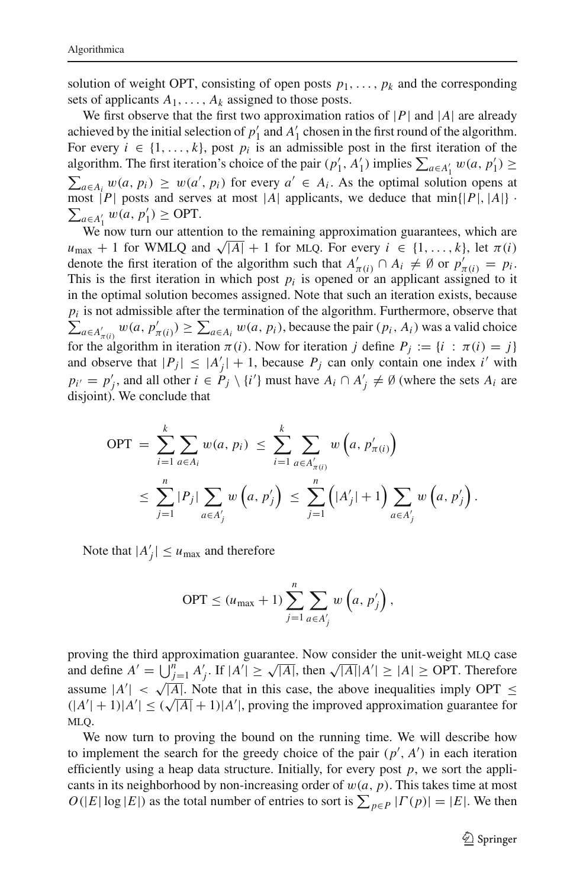solution of weight OPT, consisting of open posts  $p_1, \ldots, p_k$  and the corresponding sets of applicants  $A_1, \ldots, A_k$  assigned to those posts.

We first observe that the first two approximation ratios of  $|P|$  and  $|A|$  are already achieved by the initial selection of  $p'_1$  and  $A'_1$  chosen in the first round of the algorithm. For every  $i \in \{1, ..., k\}$ , post  $p_i$  is an admissible post in the first iteration of the algorithm. The first iteration's choice of the pair  $(p'_1, A'_1)$  implies  $\sum_{a \in A'_1} w(a, p'_1) \ge$  $\sum_{a \in A_i} w(a, p_i) \geq w(a', p_i)$  for every  $a' \in A_i$ . As the optimal solution opens at  $\sum_{a \in A'_1} w(a, p'_1)$  ≥ OPT. most | $P$ | posts and serves at most | $A$ | applicants, we deduce that min{| $P$ |, | $A$ |} ·

We now turn our attention to the remaining approximation guarantees, which are  $u_{\text{max}} + 1$  for WMLQ and  $\sqrt{|A|} + 1$  for MLQ. For every  $i \in \{1, ..., k\}$ , let  $\pi(i)$ denote the first iteration of the algorithm such that  $A'_{\pi(i)} \cap A_i \neq \emptyset$  or  $p'_{\pi(i)} = p_i$ . This is the first iteration in which post  $p_i$  is opened or an applicant assigned to it in the optimal solution becomes assigned. Note that such an iteration exists, because  $p_i$  is not admissible after the termination of the algorithm. Furthermore, observe that  $\sum_{a \in A'_{\pi(i)}} w(a, p'_{\pi(i)}) \ge \sum_{a \in A_i} w(a, p_i)$ , because the pair  $(p_i, A_i)$  was a valid choice for the algorithm in iteration  $\pi(i)$ . Now for iteration *j* define  $P_j := \{i : \pi(i) = j\}$ and observe that  $|P_j| \leq |A'_j| + 1$ , because  $P_j$  can only contain one index *i'* with  $p_{i'} = p'_{j}$ , and all other  $i \in P_j \setminus \{i'\}$  must have  $A_i \cap A'_{j} \neq \emptyset$  (where the sets  $A_i$  are disjoint). We conclude that

$$
OPT = \sum_{i=1}^{k} \sum_{a \in A_i} w(a, p_i) \leq \sum_{i=1}^{k} \sum_{a \in A'_{\pi(i)}} w(a, p'_{\pi(i)})
$$
  

$$
\leq \sum_{j=1}^{n} |P_j| \sum_{a \in A'_j} w(a, p'_j) \leq \sum_{j=1}^{n} (|A'_j| + 1) \sum_{a \in A'_j} w(a, p'_j).
$$

Note that  $|A'_j| \le u_{\text{max}}$  and therefore

$$
\text{OPT} \le (u_{\text{max}} + 1) \sum_{j=1}^{n} \sum_{a \in A'_j} w\left(a, p'_j\right),
$$

proving the third approximation guarantee. Now consider the unit-weight MLQ case and define  $A' = \bigcup_{j=1}^{n} A'_j$ . If  $|A'| \ge \sqrt{|A|}$ , then  $\sqrt{|A|} |A'| \ge |A| \ge \text{OPT}$ . Therefore assume  $|A'| < \sqrt{|A|}$ . Note that in this case, the above inequalities imply OPT  $\leq$  $(|A'| + 1)|A'| \le (\sqrt{|A|} + 1)|A'|$ , proving the improved approximation guarantee for MLO.

We now turn to proving the bound on the running time. We will describe how to implement the search for the greedy choice of the pair  $(p', A')$  in each iteration efficiently using a heap data structure. Initially, for every post *p*, we sort the applicants in its neighborhood by non-increasing order of  $w(a, p)$ . This takes time at most  $O(|E|\log|E|)$  as the total number of entries to sort is  $\sum_{p\in P} |P(p)| = |E|$ . We then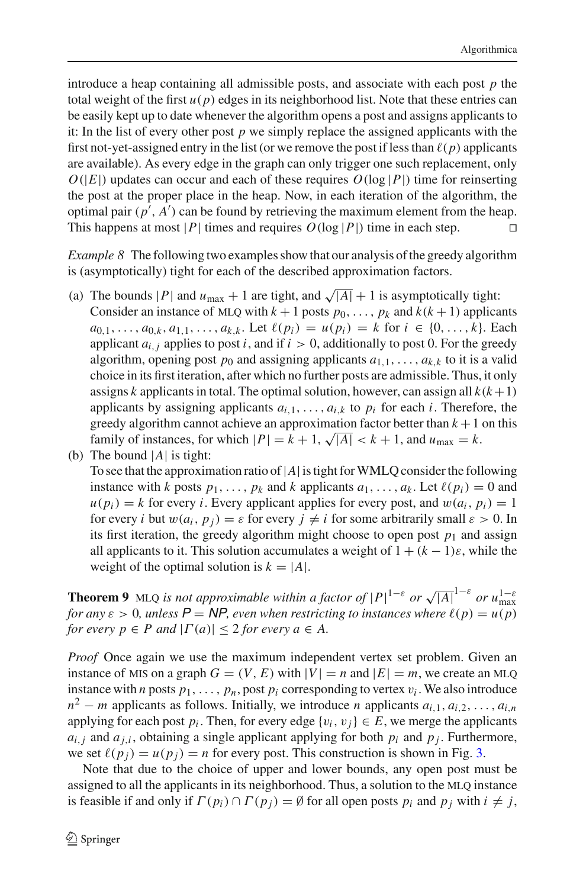introduce a heap containing all admissible posts, and associate with each post *p* the total weight of the first  $u(p)$  edges in its neighborhood list. Note that these entries can be easily kept up to date whenever the algorithm opens a post and assigns applicants to it: In the list of every other post *p* we simply replace the assigned applicants with the first not-yet-assigned entry in the list (or we remove the post if less than  $\ell(p)$  applicants are available). As every edge in the graph can only trigger one such replacement, only  $O(|E|)$  updates can occur and each of these requires  $O(\log |P|)$  time for reinserting the post at the proper place in the heap. Now, in each iteration of the algorithm, the optimal pair  $(p', A')$  can be found by retrieving the maximum element from the heap. This happens at most |*P*| times and requires  $O(\log |P|)$  time in each step.

*Example 8* The following two examples show that our analysis of the greedy algorithm is (asymptotically) tight for each of the described approximation factors.

- (a) The bounds |*P*| and  $u_{\text{max}} + 1$  are tight, and  $\sqrt{|A|} + 1$  is asymptotically tight: Consider an instance of MLQ with  $k + 1$  posts  $p_0, \ldots, p_k$  and  $k(k + 1)$  applicants  $a_{0,1}, \ldots, a_{0,k}, a_{1,1}, \ldots, a_{k,k}$ . Let  $\ell(p_i) = u(p_i) = k$  for  $i \in \{0, \ldots, k\}$ . Each applicant  $a_{i,j}$  applies to post *i*, and if  $i > 0$ , additionally to post 0. For the greedy algorithm, opening post  $p_0$  and assigning applicants  $a_{1,1}, \ldots, a_{k,k}$  to it is a valid choice in its first iteration, after which no further posts are admissible. Thus, it only assigns *k* applicants in total. The optimal solution, however, can assign all  $k(k+1)$ applicants by assigning applicants  $a_{i,1}, \ldots, a_{i,k}$  to  $p_i$  for each *i*. Therefore, the greedy algorithm cannot achieve an approximation factor better than  $k + 1$  on this family of instances, for which  $|P| = k + 1$ ,  $\sqrt{|A|} < k + 1$ , and  $u_{\text{max}} = k$ .
- (b) The bound |*A*| is tight:

To see that the approximation ratio of  $|A|$  is tight for WMLQ consider the following instance with *k* posts  $p_1, \ldots, p_k$  and *k* applicants  $a_1, \ldots, a_k$ . Let  $\ell(p_i) = 0$  and  $u(p_i) = k$  for every *i*. Every applicant applies for every post, and  $w(a_i, p_i) = 1$ for every *i* but  $w(a_i, p_i) = \varepsilon$  for every  $j \neq i$  for some arbitrarily small  $\varepsilon > 0$ . In its first iteration, the greedy algorithm might choose to open post  $p_1$  and assign all applicants to it. This solution accumulates a weight of  $1 + (k - 1)\varepsilon$ , while the weight of the optimal solution is  $k = |A|$ .

<span id="page-17-0"></span>**Theorem 9** MLQ *is not approximable within a factor of*  $|P|^{1-\varepsilon}$  *or*  $\sqrt{|A|}^{1-\varepsilon}$  *or*  $u_{\max}^{1-\varepsilon}$ *for any*  $\varepsilon > 0$ , unless  $P = NP$ , even when restricting to instances where  $\ell(p) = u(p)$ *for every p*  $\in$  *P* and  $|\Gamma(a)| \leq 2$  *for every*  $a \in A$ .

*Proof* Once again we use the maximum independent vertex set problem. Given an instance of MIS on a graph  $G = (V, E)$  with  $|V| = n$  and  $|E| = m$ , we create an MLQ instance with *n* posts  $p_1, \ldots, p_n$ , post  $p_i$  corresponding to vertex  $v_i$ . We also introduce  $n^2 - m$  applicants as follows. Initially, we introduce *n* applicants  $a_{i,1}, a_{i,2}, \ldots, a_{i,n}$ applying for each post  $p_i$ . Then, for every edge  $\{v_i, v_j\} \in E$ , we merge the applicants  $a_{i,j}$  and  $a_{j,i}$ , obtaining a single applicant applying for both  $p_i$  and  $p_j$ . Furthermore, we set  $\ell(p_j) = u(p_j) = n$  for every post. This construction is shown in Fig. [3.](#page-18-1)

Note that due to the choice of upper and lower bounds, any open post must be assigned to all the applicants in its neighborhood. Thus, a solution to the MLQ instance is feasible if and only if  $\Gamma(p_i) \cap \Gamma(p_j) = \emptyset$  for all open posts  $p_i$  and  $p_j$  with  $i \neq j$ ,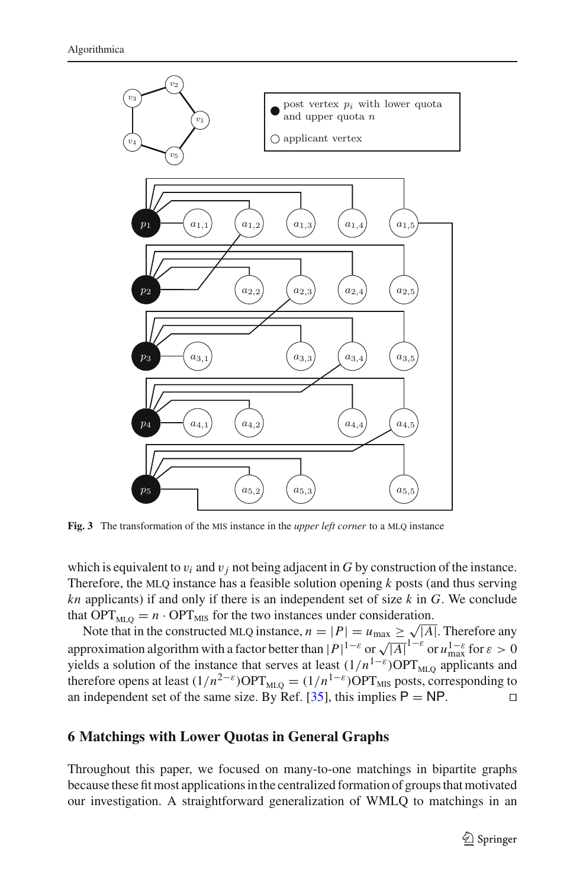

<span id="page-18-1"></span>**Fig. 3** The transformation of the MIS instance in the *upper left corner* to a MLQ instance

which is equivalent to  $v_i$  and  $v_j$  not being adjacent in *G* by construction of the instance. Therefore, the MLQ instance has a feasible solution opening  $k$  posts (and thus serving *kn* applicants) if and only if there is an independent set of size *k* in *G*. We conclude that  $OPT_{\text{MLO}} = n \cdot OPT_{\text{MIS}}$  for the two instances under consideration.

Note that in the constructed MLQ instance,  $n = |P| = u_{\text{max}} \ge \sqrt{|A|}$ . Therefore any approximation algorithm with a factor better than  $|P|^{1-\varepsilon}$  or  $\sqrt{|A|}^{1-\varepsilon}$  or  $u_{\max}^{1-\varepsilon}$  for  $\varepsilon > 0$ yields a solution of the instance that serves at least  $(1/n^{1-\epsilon})$ OPT<sub>MLO</sub> applicants and therefore opens at least  $(1/n^{2-\epsilon})$ OPT<sub>MLQ</sub> =  $(1/n^{1-\epsilon})$ OPT<sub>MLS</sub> posts, corresponding to an independent set of the same size. By Ref. [\[35](#page-23-3)], this implies  $P = NP$ .

#### <span id="page-18-0"></span>**6 Matchings with Lower Quotas in General Graphs**

Throughout this paper, we focused on many-to-one matchings in bipartite graphs because these fit most applications in the centralized formation of groups that motivated our investigation. A straightforward generalization of WMLQ to matchings in an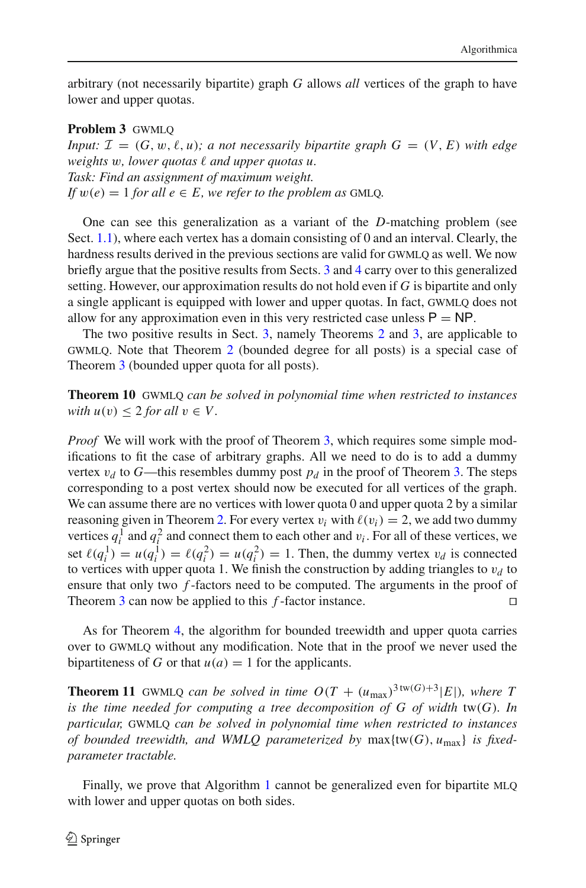arbitrary (not necessarily bipartite) graph *G* allows *all* vertices of the graph to have lower and upper quotas.

#### **Problem 3** GWMLO

*Input:*  $\mathcal{I} = (G, w, \ell, u)$ ; a not necessarily bipartite graph  $G = (V, E)$  with edge weights w, lower quotas  $\ell$  and upper quotas u. *Task: Find an assignment of maximum weight. If*  $w(e) = 1$  *for all*  $e \in E$ *, we refer to the problem as GMLQ.* 

One can see this generalization as a variant of the *D*-matching problem (see Sect. [1.1\)](#page-2-0), where each vertex has a domain consisting of 0 and an interval. Clearly, the hardness results derived in the previous sections are valid for GWMLQ as well. We now briefly argue that the positive results from Sects. [3](#page-4-0) and [4](#page-7-0) carry over to this generalized setting. However, our approximation results do not hold even if *G* is bipartite and only a single applicant is equipped with lower and upper quotas. In fact, gwmlq does not allow for any approximation even in this very restricted case unless  $P = NP$ .

The two positive results in Sect. [3,](#page-4-0) namely Theorems [2](#page-5-1) and [3,](#page-6-1) are applicable to gwmlq. Note that Theorem [2](#page-5-1) (bounded degree for all posts) is a special case of Theorem [3](#page-6-1) (bounded upper quota for all posts).

**Theorem 10** gwmlq *can be solved in polynomial time when restricted to instances with*  $u(v) < 2$  *for all*  $v \in V$ .

*Proof* We will work with the proof of Theorem [3,](#page-6-1) which requires some simple modifications to fit the case of arbitrary graphs. All we need to do is to add a dummy vertex  $v_d$  to *G*—this resembles dummy post  $p_d$  in the proof of Theorem [3.](#page-6-1) The steps corresponding to a post vertex should now be executed for all vertices of the graph. We can assume there are no vertices with lower quota  $0$  and upper quota  $2$  by a similar reasoning given in Theorem [2.](#page-5-1) For every vertex  $v_i$  with  $\ell(v_i) = 2$ , we add two dummy vertices  $q_i^1$  and  $q_i^2$  and connect them to each other and  $v_i$ . For all of these vertices, we set  $\ell(q_i^1) = u(q_i^1) = \ell(q_i^2) = u(q_i^2) = 1$ . Then, the dummy vertex  $v_d$  is connected to vertices with upper quota 1. We finish the construction by adding triangles to  $v_d$  to ensure that only two *f* -factors need to be computed. The arguments in the proof of Theorem [3](#page-6-1) can now be applied to this *f* -factor instance. 

As for Theorem [4,](#page-12-1) the algorithm for bounded treewidth and upper quota carries over to gwmlq without any modification. Note that in the proof we never used the bipartiteness of *G* or that  $u(a) = 1$  for the applicants.

**Theorem 11** GWMLQ *can be solved in time*  $O(T + (u_{\text{max}})^{3 \text{tw}(G)+3}|E|)$ *, where T is the time needed for computing a tree decomposition of G of width* tw(*G*)*. In particular,* GWMLQ *can be solved in polynomial time when restricted to instances of bounded treewidth, and WMLQ parameterized by* max{tw(*G*), *u*max} *is fixedparameter tractable.*

Finally, we prove that Algorithm [1](#page-15-1) cannot be generalized even for bipartite MLQ with lower and upper quotas on both sides.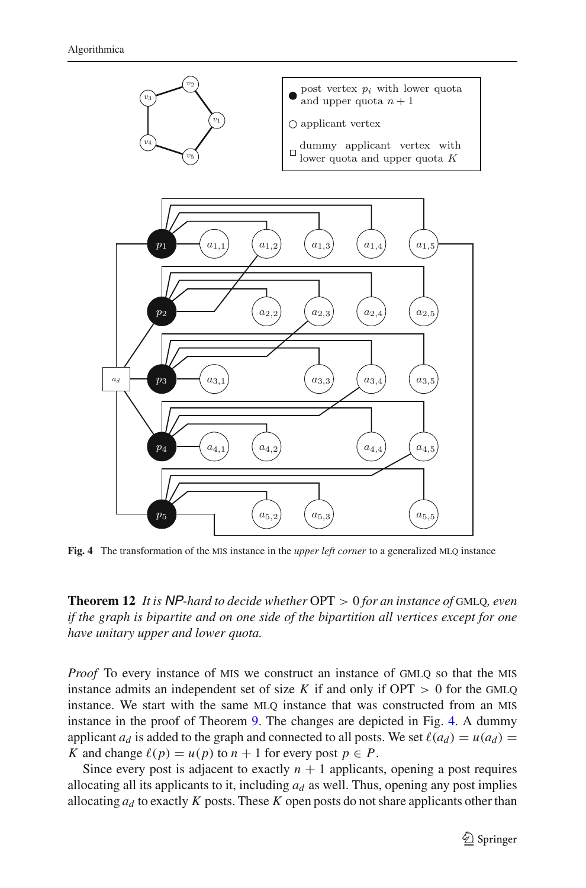

<span id="page-20-0"></span>Fig. 4 The transformation of the MIS instance in the *upper left corner* to a generalized MLQ instance

**Theorem 12** *It is* NP*-hard to decide whether* OPT > 0 *for an instance of* gmlq*, even if the graph is bipartite and on one side of the bipartition all vertices except for one have unitary upper and lower quota.*

*Proof* To every instance of MIS we construct an instance of GMLQ so that the MIS instance admits an independent set of size  $K$  if and only if  $OPT > 0$  for the GMLO instance. We start with the same MLO instance that was constructed from an MIS instance in the proof of Theorem [9.](#page-17-0) The changes are depicted in Fig. [4.](#page-20-0) A dummy applicant  $a_d$  is added to the graph and connected to all posts. We set  $\ell(a_d) = u(a_d)$ *K* and change  $\ell(p) = u(p)$  to  $n + 1$  for every post  $p \in P$ .

Since every post is adjacent to exactly  $n + 1$  applicants, opening a post requires allocating all its applicants to it, including  $a_d$  as well. Thus, opening any post implies allocating  $a_d$  to exactly K posts. These K open posts do not share applicants other than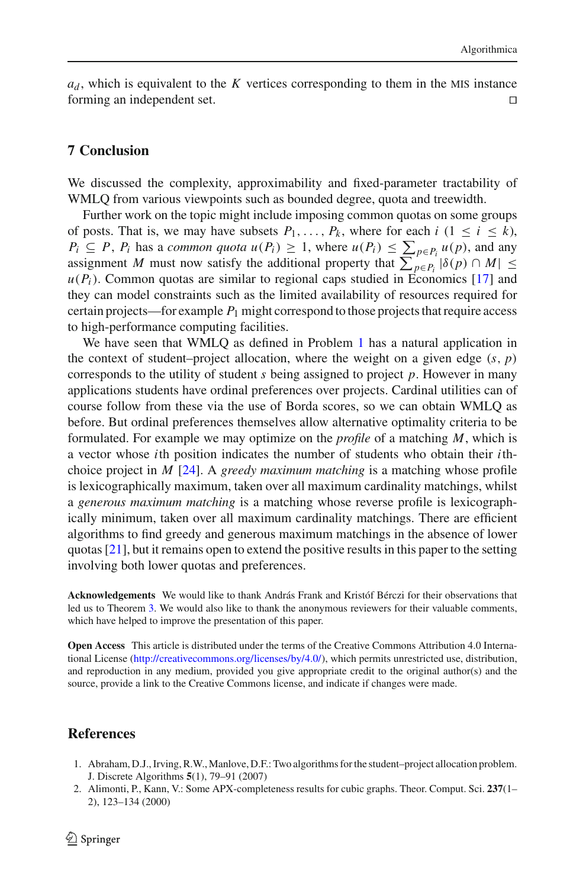$a_d$ , which is equivalent to the *K* vertices corresponding to them in the MIS instance forming an independent set. 

### **7 Conclusion**

We discussed the complexity, approximability and fixed-parameter tractability of WMLQ from various viewpoints such as bounded degree, quota and treewidth.

Further work on the topic might include imposing common quotas on some groups of posts. That is, we may have subsets  $P_1, \ldots, P_k$ , where for each  $i$  ( $1 \le i \le k$ ),  $P_i \subseteq P$ ,  $P_i$  has a *common quota u*( $P_i$ )  $\geq 1$ , where  $u(P_i) \leq \sum_{p \in P_i} u(p)$ , and any assignment *M* must now satisfy the additional property that  $\sum_{p \in P_i} |\delta(p) \cap M| \le$  $u(P_i)$ . Common quotas are similar to regional caps studied in Economics [\[17](#page-22-26)] and they can model constraints such as the limited availability of resources required for certain projects—for example  $P_1$  might correspond to those projects that require access to high-performance computing facilities.

We have seen that WMLO as defined in Problem [1](#page-4-2) has a natural application in the context of student–project allocation, where the weight on a given edge  $(s, p)$ corresponds to the utility of student *s* being assigned to project *p*. However in many applications students have ordinal preferences over projects. Cardinal utilities can of course follow from these via the use of Borda scores, so we can obtain WMLQ as before. But ordinal preferences themselves allow alternative optimality criteria to be formulated. For example we may optimize on the *profile* of a matching *M*, which is a vector whose *i*th position indicates the number of students who obtain their *i*thchoice project in *M* [\[24\]](#page-22-5). A *greedy maximum matching* is a matching whose profile is lexicographically maximum, taken over all maximum cardinality matchings, whilst a *generous maximum matching* is a matching whose reverse profile is lexicographically minimum, taken over all maximum cardinality matchings. There are efficient algorithms to find greedy and generous maximum matchings in the absence of lower quotas [\[21\]](#page-22-27), but it remains open to extend the positive results in this paper to the setting involving both lower quotas and preferences.

**Acknowledgements** We would like to thank András Frank and Kristóf Bérczi for their observations that led us to Theorem [3.](#page-6-1) We would also like to thank the anonymous reviewers for their valuable comments, which have helped to improve the presentation of this paper.

**Open Access** This article is distributed under the terms of the Creative Commons Attribution 4.0 International License [\(http://creativecommons.org/licenses/by/4.0/\)](http://creativecommons.org/licenses/by/4.0/), which permits unrestricted use, distribution, and reproduction in any medium, provided you give appropriate credit to the original author(s) and the source, provide a link to the Creative Commons license, and indicate if changes were made.

### **References**

- <span id="page-21-0"></span>1. Abraham, D.J., Irving, R.W.,Manlove, D.F.: Two algorithms for the student–project allocation problem. J. Discrete Algorithms **5**(1), 79–91 (2007)
- <span id="page-21-1"></span>2. Alimonti, P., Kann, V.: Some APX-completeness results for cubic graphs. Theor. Comput. Sci. **237**(1– 2), 123–134 (2000)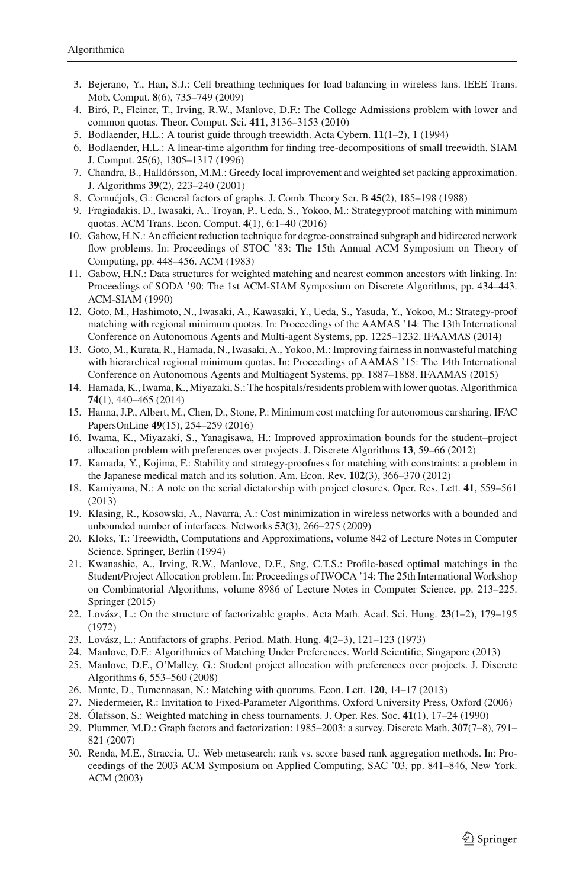- <span id="page-22-20"></span>3. Bejerano, Y., Han, S.J.: Cell breathing techniques for load balancing in wireless lans. IEEE Trans. Mob. Comput. **8**(6), 735–749 (2009)
- <span id="page-22-0"></span>4. Biró, P., Fleiner, T., Irving, R.W., Manlove, D.F.: The College Admissions problem with lower and common quotas. Theor. Comput. Sci. **411**, 3136–3153 (2010)
- <span id="page-22-19"></span>5. Bodlaender, H.L.: A tourist guide through treewidth. Acta Cybern. **11**(1–2), 1 (1994)
- <span id="page-22-23"></span>6. Bodlaender, H.L.: A linear-time algorithm for finding tree-decompositions of small treewidth. SIAM J. Comput. **25**(6), 1305–1317 (1996)
- <span id="page-22-25"></span>7. Chandra, B., Halldórsson, M.M.: Greedy local improvement and weighted set packing approximation. J. Algorithms **39**(2), 223–240 (2001)
- <span id="page-22-13"></span>8. Cornuéjols, G.: General factors of graphs. J. Comb. Theory Ser. B **45**(2), 185–198 (1988)
- <span id="page-22-2"></span>9. Fragiadakis, D., Iwasaki, A., Troyan, P., Ueda, S., Yokoo, M.: Strategyproof matching with minimum quotas. ACM Trans. Econ. Comput. **4**(1), 6:1–40 (2016)
- <span id="page-22-17"></span>10. Gabow, H.N.: An efficient reduction technique for degree-constrained subgraph and bidirected network flow problems. In: Proceedings of STOC '83: The 15th Annual ACM Symposium on Theory of Computing, pp. 448–456. ACM (1983)
- <span id="page-22-18"></span>11. Gabow, H.N.: Data structures for weighted matching and nearest common ancestors with linking. In: Proceedings of SODA '90: The 1st ACM-SIAM Symposium on Discrete Algorithms, pp. 434–443. ACM-SIAM (1990)
- <span id="page-22-3"></span>12. Goto, M., Hashimoto, N., Iwasaki, A., Kawasaki, Y., Ueda, S., Yasuda, Y., Yokoo, M.: Strategy-proof matching with regional minimum quotas. In: Proceedings of the AAMAS '14: The 13th International Conference on Autonomous Agents and Multi-agent Systems, pp. 1225–1232. IFAAMAS (2014)
- <span id="page-22-4"></span>13. Goto, M., Kurata, R., Hamada, N., Iwasaki, A., Yokoo, M.: Improving fairness in nonwasteful matching with hierarchical regional minimum quotas. In: Proceedings of AAMAS '15: The 14th International Conference on Autonomous Agents and Multiagent Systems, pp. 1887–1888. IFAAMAS (2015)
- <span id="page-22-1"></span>14. Hamada, K., Iwama, K., Miyazaki, S.: The hospitals/residents problem with lower quotas. Algorithmica **74**(1), 440–465 (2014)
- <span id="page-22-11"></span>15. Hanna, J.P., Albert, M., Chen, D., Stone, P.: Minimum cost matching for autonomous carsharing. IFAC PapersOnLine **49**(15), 254–259 (2016)
- <span id="page-22-6"></span>16. Iwama, K., Miyazaki, S., Yanagisawa, H.: Improved approximation bounds for the student–project allocation problem with preferences over projects. J. Discrete Algorithms **13**, 59–66 (2012)
- <span id="page-22-26"></span>17. Kamada, Y., Kojima, F.: Stability and strategy-proofness for matching with constraints: a problem in the Japanese medical match and its solution. Am. Econ. Rev. **102**(3), 366–370 (2012)
- <span id="page-22-8"></span>18. Kamiyama, N.: A note on the serial dictatorship with project closures. Oper. Res. Lett. **41**, 559–561 (2013)
- <span id="page-22-21"></span>19. Klasing, R., Kosowski, A., Navarra, A.: Cost minimization in wireless networks with a bounded and unbounded number of interfaces. Networks **53**(3), 266–275 (2009)
- <span id="page-22-24"></span>20. Kloks, T.: Treewidth, Computations and Approximations, volume 842 of Lecture Notes in Computer Science. Springer, Berlin (1994)
- <span id="page-22-27"></span>21. Kwanashie, A., Irving, R.W., Manlove, D.F., Sng, C.T.S.: Profile-based optimal matchings in the Student/Project Allocation problem. In: Proceedings of IWOCA '14: The 25th International Workshop on Combinatorial Algorithms, volume 8986 of Lecture Notes in Computer Science, pp. 213–225. Springer (2015)
- <span id="page-22-16"></span>22. Lovász, L.: On the structure of factorizable graphs. Acta Math. Acad. Sci. Hung. **23**(1–2), 179–195 (1972)
- <span id="page-22-14"></span>23. Lovász, L.: Antifactors of graphs. Period. Math. Hung. **4**(2–3), 121–123 (1973)
- <span id="page-22-5"></span>24. Manlove, D.F.: Algorithmics of Matching Under Preferences. World Scientific, Singapore (2013)
- <span id="page-22-7"></span>25. Manlove, D.F., O'Malley, G.: Student project allocation with preferences over projects. J. Discrete Algorithms **6**, 553–560 (2008)
- 26. Monte, D., Tumennasan, N.: Matching with quorums. Econ. Lett. **120**, 14–17 (2013)
- <span id="page-22-22"></span><span id="page-22-10"></span><span id="page-22-9"></span>27. Niedermeier, R.: Invitation to Fixed-Parameter Algorithms. Oxford University Press, Oxford (2006)
- 28. Ólafsson, S.: Weighted matching in chess tournaments. J. Oper. Res. Soc. **41**(1), 17–24 (1990)
- <span id="page-22-15"></span>29. Plummer, M.D.: Graph factors and factorization: 1985–2003: a survey. Discrete Math. **307**(7–8), 791– 821 (2007)
- <span id="page-22-12"></span>30. Renda, M.E., Straccia, U.: Web metasearch: rank vs. score based rank aggregation methods. In: Proceedings of the 2003 ACM Symposium on Applied Computing, SAC '03, pp. 841–846, New York. ACM (2003)